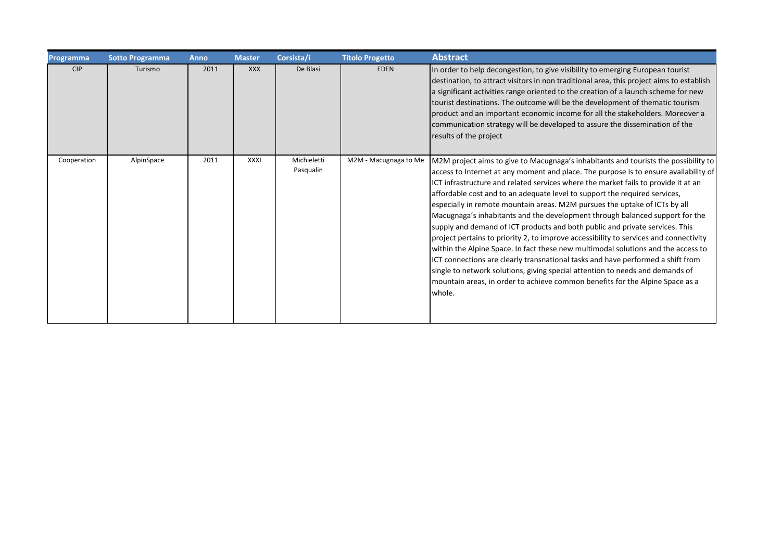| Programma   | <b>Sotto Programma</b> | <b>Anno</b> | <b>Master</b> | Corsista/i               | <b>Titolo Progetto</b> | <b>Abstract</b>                                                                                                                                                                                                                                                                                                                                                                                                                                                                                                                                                                                                                                                                                                                                                                                                                                                                                                                                                                                                                            |
|-------------|------------------------|-------------|---------------|--------------------------|------------------------|--------------------------------------------------------------------------------------------------------------------------------------------------------------------------------------------------------------------------------------------------------------------------------------------------------------------------------------------------------------------------------------------------------------------------------------------------------------------------------------------------------------------------------------------------------------------------------------------------------------------------------------------------------------------------------------------------------------------------------------------------------------------------------------------------------------------------------------------------------------------------------------------------------------------------------------------------------------------------------------------------------------------------------------------|
| <b>CIP</b>  | Turismo                | 2011        | <b>XXX</b>    | De Blasi                 | <b>EDEN</b>            | In order to help decongestion, to give visibility to emerging European tourist<br>destination, to attract visitors in non traditional area, this project aims to establish<br>a significant activities range oriented to the creation of a launch scheme for new<br>tourist destinations. The outcome will be the development of thematic tourism<br>product and an important economic income for all the stakeholders. Moreover a<br>communication strategy will be developed to assure the dissemination of the<br>results of the project                                                                                                                                                                                                                                                                                                                                                                                                                                                                                                |
| Cooperation | AlpinSpace             | 2011        | <b>XXXI</b>   | Michieletti<br>Pasqualin | M2M - Macugnaga to Me  | M2M project aims to give to Macugnaga's inhabitants and tourists the possibility to<br>access to Internet at any moment and place. The purpose is to ensure availability of<br>ICT infrastructure and related services where the market fails to provide it at an<br>affordable cost and to an adequate level to support the required services,<br>especially in remote mountain areas. M2M pursues the uptake of ICTs by all<br>Macugnaga's inhabitants and the development through balanced support for the<br>supply and demand of ICT products and both public and private services. This<br>project pertains to priority 2, to improve accessibility to services and connectivity<br>within the Alpine Space. In fact these new multimodal solutions and the access to<br>ICT connections are clearly transnational tasks and have performed a shift from<br>single to network solutions, giving special attention to needs and demands of<br>mountain areas, in order to achieve common benefits for the Alpine Space as a<br>whole. |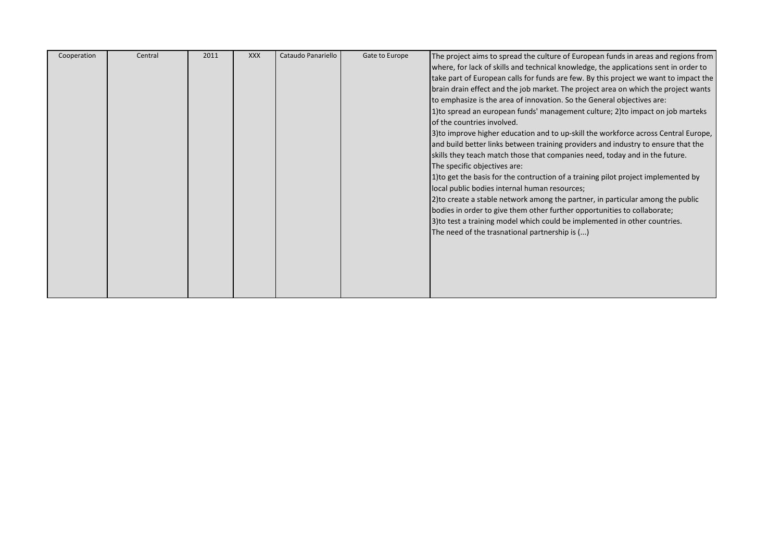| Cooperation | Central | 2011 | <b>XXX</b> | Cataudo Panariello | Gate to Europe | The project aims to spread the culture of European funds in areas and regions from   |
|-------------|---------|------|------------|--------------------|----------------|--------------------------------------------------------------------------------------|
|             |         |      |            |                    |                | where, for lack of skills and technical knowledge, the applications sent in order to |
|             |         |      |            |                    |                | take part of European calls for funds are few. By this project we want to impact the |
|             |         |      |            |                    |                | brain drain effect and the job market. The project area on which the project wants   |
|             |         |      |            |                    |                | to emphasize is the area of innovation. So the General objectives are:               |
|             |         |      |            |                    |                | 1) to spread an european funds' management culture; 2) to impact on job marteks      |
|             |         |      |            |                    |                | of the countries involved.                                                           |
|             |         |      |            |                    |                | 3) to improve higher education and to up-skill the workforce across Central Europe,  |
|             |         |      |            |                    |                | and build better links between training providers and industry to ensure that the    |
|             |         |      |            |                    |                | skills they teach match those that companies need, today and in the future.          |
|             |         |      |            |                    |                | The specific objectives are:                                                         |
|             |         |      |            |                    |                | 1) to get the basis for the contruction of a training pilot project implemented by   |
|             |         |      |            |                    |                | local public bodies internal human resources;                                        |
|             |         |      |            |                    |                | 2) to create a stable network among the partner, in particular among the public      |
|             |         |      |            |                    |                | bodies in order to give them other further opportunities to collaborate;             |
|             |         |      |            |                    |                | 3) to test a training model which could be implemented in other countries.           |
|             |         |      |            |                    |                | The need of the trasnational partnership is ()                                       |
|             |         |      |            |                    |                |                                                                                      |
|             |         |      |            |                    |                |                                                                                      |
|             |         |      |            |                    |                |                                                                                      |
|             |         |      |            |                    |                |                                                                                      |
|             |         |      |            |                    |                |                                                                                      |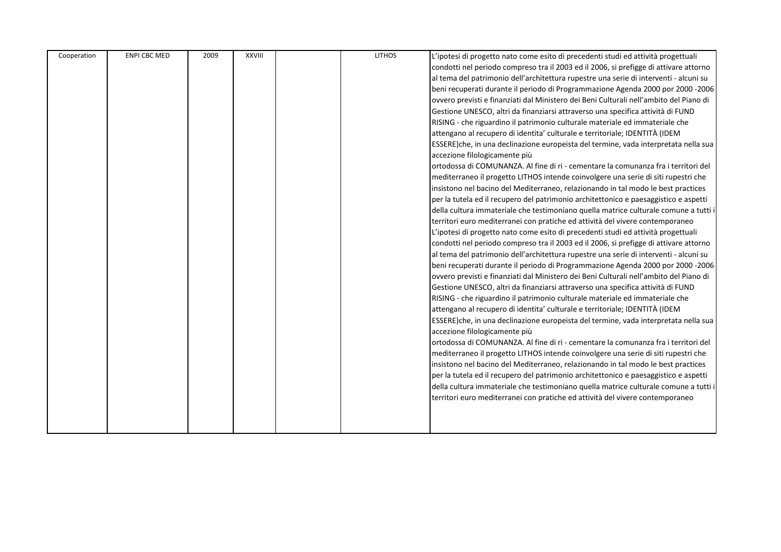| Cooperation | <b>ENPI CBC MED</b> | 2009 | <b>XXVIII</b> | <b>LITHOS</b> | L'ipotesi di progetto nato come esito di precedenti studi ed attività progettuali      |
|-------------|---------------------|------|---------------|---------------|----------------------------------------------------------------------------------------|
|             |                     |      |               |               | condotti nel periodo compreso tra il 2003 ed il 2006, si prefigge di attivare attorno  |
|             |                     |      |               |               | al tema del patrimonio dell'architettura rupestre una serie di interventi - alcuni su  |
|             |                     |      |               |               | beni recuperati durante il periodo di Programmazione Agenda 2000 por 2000 -2006        |
|             |                     |      |               |               | ovvero previsti e finanziati dal Ministero dei Beni Culturali nell'ambito del Piano di |
|             |                     |      |               |               | Gestione UNESCO, altri da finanziarsi attraverso una specifica attività di FUND        |
|             |                     |      |               |               | RISING - che riguardino il patrimonio culturale materiale ed immateriale che           |
|             |                     |      |               |               | attengano al recupero di identita' culturale e territoriale; IDENTITÀ (IDEM            |
|             |                     |      |               |               | ESSERE)che, in una declinazione europeista del termine, vada interpretata nella sua    |
|             |                     |      |               |               | accezione filologicamente più                                                          |
|             |                     |      |               |               | ortodossa di COMUNANZA. Al fine di ri - cementare la comunanza fra i territori del     |
|             |                     |      |               |               | mediterraneo il progetto LITHOS intende coinvolgere una serie di siti rupestri che     |
|             |                     |      |               |               | insistono nel bacino del Mediterraneo, relazionando in tal modo le best practices      |
|             |                     |      |               |               | per la tutela ed il recupero del patrimonio architettonico e paesaggistico e aspetti   |
|             |                     |      |               |               | della cultura immateriale che testimoniano quella matrice culturale comune a tutti i   |
|             |                     |      |               |               | territori euro mediterranei con pratiche ed attività del vivere contemporaneo          |
|             |                     |      |               |               | L'ipotesi di progetto nato come esito di precedenti studi ed attività progettuali      |
|             |                     |      |               |               | condotti nel periodo compreso tra il 2003 ed il 2006, si prefigge di attivare attorno  |
|             |                     |      |               |               | al tema del patrimonio dell'architettura rupestre una serie di interventi - alcuni su  |
|             |                     |      |               |               | beni recuperati durante il periodo di Programmazione Agenda 2000 por 2000 -2006        |
|             |                     |      |               |               | ovvero previsti e finanziati dal Ministero dei Beni Culturali nell'ambito del Piano di |
|             |                     |      |               |               | Gestione UNESCO, altri da finanziarsi attraverso una specifica attività di FUND        |
|             |                     |      |               |               | RISING - che riguardino il patrimonio culturale materiale ed immateriale che           |
|             |                     |      |               |               | attengano al recupero di identita' culturale e territoriale; IDENTITÀ (IDEM            |
|             |                     |      |               |               | ESSERE)che, in una declinazione europeista del termine, vada interpretata nella sua    |
|             |                     |      |               |               | accezione filologicamente più                                                          |
|             |                     |      |               |               | ortodossa di COMUNANZA. Al fine di ri - cementare la comunanza fra i territori del     |
|             |                     |      |               |               | mediterraneo il progetto LITHOS intende coinvolgere una serie di siti rupestri che     |
|             |                     |      |               |               | insistono nel bacino del Mediterraneo, relazionando in tal modo le best practices      |
|             |                     |      |               |               | per la tutela ed il recupero del patrimonio architettonico e paesaggistico e aspetti   |
|             |                     |      |               |               | della cultura immateriale che testimoniano quella matrice culturale comune a tutti i   |
|             |                     |      |               |               | territori euro mediterranei con pratiche ed attività del vivere contemporaneo          |
|             |                     |      |               |               |                                                                                        |
|             |                     |      |               |               |                                                                                        |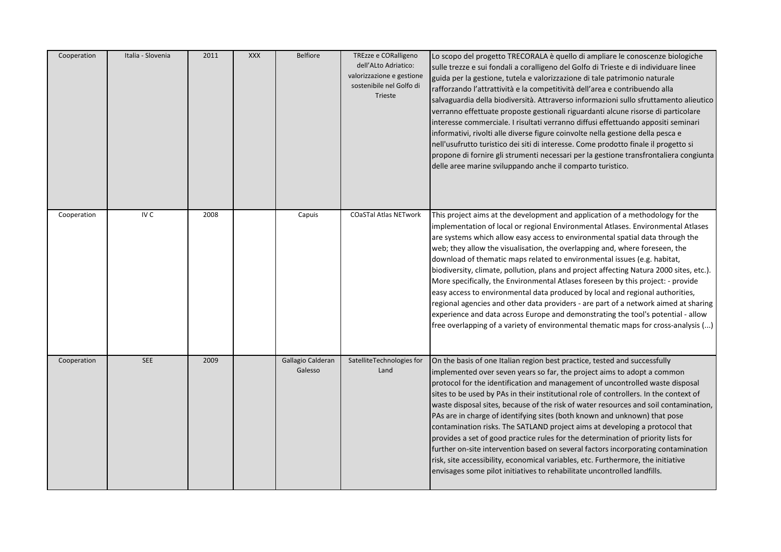| Cooperation | Italia - Slovenia | 2011 | <b>XXX</b> | <b>Belfiore</b>              | TREzze e CORalligeno<br>dell'ALto Adriatico:<br>valorizzazione e gestione<br>sostenibile nel Golfo di<br>Trieste | Lo scopo del progetto TRECORALA è quello di ampliare le conoscenze biologiche<br>sulle trezze e sui fondali a coralligeno del Golfo di Trieste e di individuare linee<br>guida per la gestione, tutela e valorizzazione di tale patrimonio naturale<br>rafforzando l'attrattività e la competitività dell'area e contribuendo alla<br>salvaguardia della biodiversità. Attraverso informazioni sullo sfruttamento alieutico<br>verranno effettuate proposte gestionali riguardanti alcune risorse di particolare<br>interesse commerciale. I risultati verranno diffusi effettuando appositi seminari<br>informativi, rivolti alle diverse figure coinvolte nella gestione della pesca e<br>nell'usufrutto turistico dei siti di interesse. Come prodotto finale il progetto si<br>propone di fornire gli strumenti necessari per la gestione transfrontaliera congiunta<br>delle aree marine sviluppando anche il comparto turistico.         |
|-------------|-------------------|------|------------|------------------------------|------------------------------------------------------------------------------------------------------------------|------------------------------------------------------------------------------------------------------------------------------------------------------------------------------------------------------------------------------------------------------------------------------------------------------------------------------------------------------------------------------------------------------------------------------------------------------------------------------------------------------------------------------------------------------------------------------------------------------------------------------------------------------------------------------------------------------------------------------------------------------------------------------------------------------------------------------------------------------------------------------------------------------------------------------------------------|
| Cooperation | IV C              | 2008 |            | Capuis                       | <b>COaSTal Atlas NETwork</b>                                                                                     | This project aims at the development and application of a methodology for the<br>implementation of local or regional Environmental Atlases. Environmental Atlases<br>are systems which allow easy access to environmental spatial data through the<br>web; they allow the visualisation, the overlapping and, where foreseen, the<br>download of thematic maps related to environmental issues (e.g. habitat,<br>biodiversity, climate, pollution, plans and project affecting Natura 2000 sites, etc.).<br>More specifically, the Environmental Atlases foreseen by this project: - provide<br>easy access to environmental data produced by local and regional authorities,<br>regional agencies and other data providers - are part of a network aimed at sharing<br>experience and data across Europe and demonstrating the tool's potential - allow<br>free overlapping of a variety of environmental thematic maps for cross-analysis () |
| Cooperation | <b>SEE</b>        | 2009 |            | Gallagio Calderan<br>Galesso | SatelliteTechnologies for<br>Land                                                                                | On the basis of one Italian region best practice, tested and successfully<br>implemented over seven years so far, the project aims to adopt a common<br>protocol for the identification and management of uncontrolled waste disposal<br>sites to be used by PAs in their institutional role of controllers. In the context of<br>waste disposal sites, because of the risk of water resources and soil contamination,<br>PAs are in charge of identifying sites (both known and unknown) that pose<br>contamination risks. The SATLAND project aims at developing a protocol that<br>provides a set of good practice rules for the determination of priority lists for<br>further on-site intervention based on several factors incorporating contamination<br>risk, site accessibility, economical variables, etc. Furthermore, the initiative<br>envisages some pilot initiatives to rehabilitate uncontrolled landfills.                   |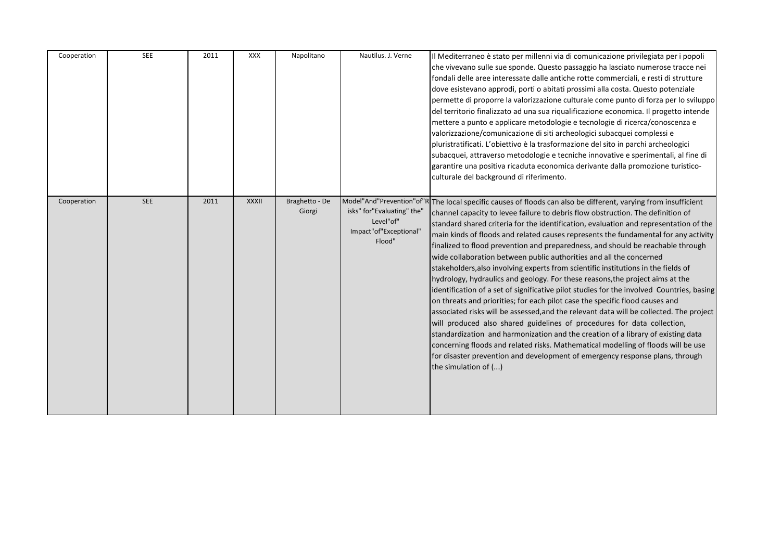| Cooperation | <b>SEE</b> | 2011 | XXX          | Napolitano               | Nautilus. J. Verne                                                          | Il Mediterraneo è stato per millenni via di comunicazione privilegiata per i popoli<br>che vivevano sulle sue sponde. Questo passaggio ha lasciato numerose tracce nei<br>fondali delle aree interessate dalle antiche rotte commerciali, e resti di strutture<br>dove esistevano approdi, porti o abitati prossimi alla costa. Questo potenziale<br>permette di proporre la valorizzazione culturale come punto di forza per lo sviluppo<br>del territorio finalizzato ad una sua riqualificazione economica. Il progetto intende<br>mettere a punto e applicare metodologie e tecnologie di ricerca/conoscenza e<br>valorizzazione/comunicazione di siti archeologici subacquei complessi e<br>pluristratificati. L'obiettivo è la trasformazione del sito in parchi archeologici<br>subacquei, attraverso metodologie e tecniche innovative e sperimentali, al fine di<br>garantire una positiva ricaduta economica derivante dalla promozione turistico-<br>culturale del background di riferimento.                                                                                                                                                                                                                                                                                                                                               |
|-------------|------------|------|--------------|--------------------------|-----------------------------------------------------------------------------|--------------------------------------------------------------------------------------------------------------------------------------------------------------------------------------------------------------------------------------------------------------------------------------------------------------------------------------------------------------------------------------------------------------------------------------------------------------------------------------------------------------------------------------------------------------------------------------------------------------------------------------------------------------------------------------------------------------------------------------------------------------------------------------------------------------------------------------------------------------------------------------------------------------------------------------------------------------------------------------------------------------------------------------------------------------------------------------------------------------------------------------------------------------------------------------------------------------------------------------------------------------------------------------------------------------------------------------------------------|
| Cooperation | <b>SEE</b> | 2011 | <b>XXXII</b> | Braghetto - De<br>Giorgi | isks" for"Evaluating" the'<br>Level"of"<br>Impact"of"Exceptional"<br>Flood" | Model"And"Prevention"of"R The local specific causes of floods can also be different, varying from insufficient<br>channel capacity to levee failure to debris flow obstruction. The definition of<br>standard shared criteria for the identification, evaluation and representation of the<br>main kinds of floods and related causes represents the fundamental for any activity<br>finalized to flood prevention and preparedness, and should be reachable through<br>wide collaboration between public authorities and all the concerned<br>stakeholders, also involving experts from scientific institutions in the fields of<br>hydrology, hydraulics and geology. For these reasons, the project aims at the<br>identification of a set of significative pilot studies for the involved Countries, basing<br>on threats and priorities; for each pilot case the specific flood causes and<br>associated risks will be assessed, and the relevant data will be collected. The project<br>will produced also shared guidelines of procedures for data collection,<br>standardization and harmonization and the creation of a library of existing data<br>concerning floods and related risks. Mathematical modelling of floods will be use<br>for disaster prevention and development of emergency response plans, through<br>the simulation of () |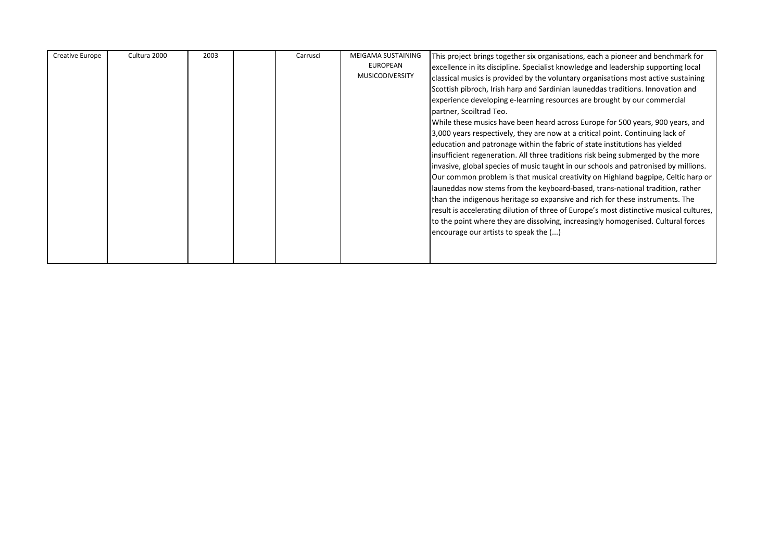| Creative Europe | Cultura 2000 | 2003 | Carrusci | MEIGAMA SUSTAINING     | This project brings together six organisations, each a pioneer and benchmark for        |
|-----------------|--------------|------|----------|------------------------|-----------------------------------------------------------------------------------------|
|                 |              |      |          | <b>EUROPEAN</b>        | excellence in its discipline. Specialist knowledge and leadership supporting local      |
|                 |              |      |          | <b>MUSICODIVERSITY</b> | classical musics is provided by the voluntary organisations most active sustaining      |
|                 |              |      |          |                        |                                                                                         |
|                 |              |      |          |                        | Scottish pibroch, Irish harp and Sardinian launeddas traditions. Innovation and         |
|                 |              |      |          |                        | experience developing e-learning resources are brought by our commercial                |
|                 |              |      |          |                        | partner, Scoiltrad Teo.                                                                 |
|                 |              |      |          |                        | While these musics have been heard across Europe for 500 years, 900 years, and          |
|                 |              |      |          |                        | 3,000 years respectively, they are now at a critical point. Continuing lack of          |
|                 |              |      |          |                        | education and patronage within the fabric of state institutions has yielded             |
|                 |              |      |          |                        | insufficient regeneration. All three traditions risk being submerged by the more        |
|                 |              |      |          |                        | invasive, global species of music taught in our schools and patronised by millions.     |
|                 |              |      |          |                        | Our common problem is that musical creativity on Highland bagpipe, Celtic harp or       |
|                 |              |      |          |                        | launeddas now stems from the keyboard-based, trans-national tradition, rather           |
|                 |              |      |          |                        | than the indigenous heritage so expansive and rich for these instruments. The           |
|                 |              |      |          |                        | result is accelerating dilution of three of Europe's most distinctive musical cultures, |
|                 |              |      |          |                        |                                                                                         |
|                 |              |      |          |                        | to the point where they are dissolving, increasingly homogenised. Cultural forces       |
|                 |              |      |          |                        | encourage our artists to speak the ()                                                   |
|                 |              |      |          |                        |                                                                                         |
|                 |              |      |          |                        |                                                                                         |
|                 |              |      |          |                        |                                                                                         |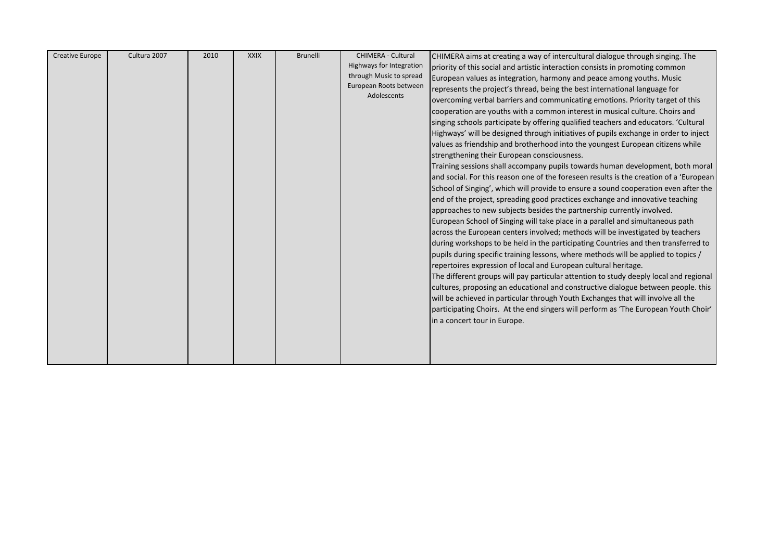| Creative Europe | Cultura 2007 | 2010 | <b>XXIX</b> | <b>Brunelli</b> | <b>CHIMERA - Cultural</b> | CHIMERA aims at creating a way of intercultural dialogue through singing. The           |
|-----------------|--------------|------|-------------|-----------------|---------------------------|-----------------------------------------------------------------------------------------|
|                 |              |      |             |                 | Highways for Integration  | priority of this social and artistic interaction consists in promoting common           |
|                 |              |      |             |                 | through Music to spread   | European values as integration, harmony and peace among youths. Music                   |
|                 |              |      |             |                 | European Roots between    | represents the project's thread, being the best international language for              |
|                 |              |      |             |                 | Adolescents               | overcoming verbal barriers and communicating emotions. Priority target of this          |
|                 |              |      |             |                 |                           | cooperation are youths with a common interest in musical culture. Choirs and            |
|                 |              |      |             |                 |                           | singing schools participate by offering qualified teachers and educators. 'Cultural     |
|                 |              |      |             |                 |                           | Highways' will be designed through initiatives of pupils exchange in order to inject    |
|                 |              |      |             |                 |                           | values as friendship and brotherhood into the youngest European citizens while          |
|                 |              |      |             |                 |                           | strengthening their European consciousness.                                             |
|                 |              |      |             |                 |                           | Training sessions shall accompany pupils towards human development, both moral          |
|                 |              |      |             |                 |                           | and social. For this reason one of the foreseen results is the creation of a 'European' |
|                 |              |      |             |                 |                           | School of Singing', which will provide to ensure a sound cooperation even after the     |
|                 |              |      |             |                 |                           | end of the project, spreading good practices exchange and innovative teaching           |
|                 |              |      |             |                 |                           | approaches to new subjects besides the partnership currently involved.                  |
|                 |              |      |             |                 |                           | European School of Singing will take place in a parallel and simultaneous path          |
|                 |              |      |             |                 |                           | across the European centers involved; methods will be investigated by teachers          |
|                 |              |      |             |                 |                           | during workshops to be held in the participating Countries and then transferred to      |
|                 |              |      |             |                 |                           | pupils during specific training lessons, where methods will be applied to topics /      |
|                 |              |      |             |                 |                           | repertoires expression of local and European cultural heritage.                         |
|                 |              |      |             |                 |                           | The different groups will pay particular attention to study deeply local and regional   |
|                 |              |      |             |                 |                           | cultures, proposing an educational and constructive dialogue between people. this       |
|                 |              |      |             |                 |                           | will be achieved in particular through Youth Exchanges that will involve all the        |
|                 |              |      |             |                 |                           | participating Choirs. At the end singers will perform as 'The European Youth Choir'     |
|                 |              |      |             |                 |                           | in a concert tour in Europe.                                                            |
|                 |              |      |             |                 |                           |                                                                                         |
|                 |              |      |             |                 |                           |                                                                                         |
|                 |              |      |             |                 |                           |                                                                                         |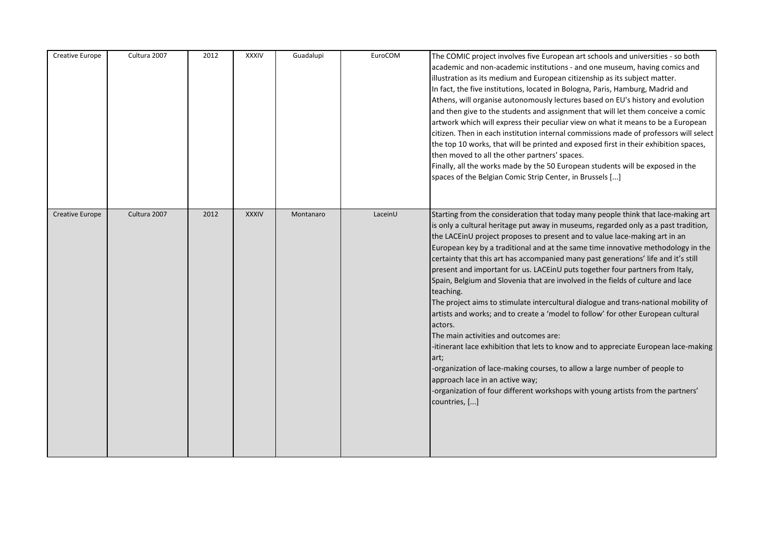| Creative Europe        | Cultura 2007 | 2012 | <b>XXXIV</b> | Guadalupi | EuroCOM | The COMIC project involves five European art schools and universities - so both<br>academic and non-academic institutions - and one museum, having comics and<br>illustration as its medium and European citizenship as its subject matter.<br>In fact, the five institutions, located in Bologna, Paris, Hamburg, Madrid and<br>Athens, will organise autonomously lectures based on EU's history and evolution<br>and then give to the students and assignment that will let them conceive a comic<br>artwork which will express their peculiar view on what it means to be a European<br>citizen. Then in each institution internal commissions made of professors will select<br>the top 10 works, that will be printed and exposed first in their exhibition spaces,<br>then moved to all the other partners' spaces.<br>Finally, all the works made by the 50 European students will be exposed in the<br>spaces of the Belgian Comic Strip Center, in Brussels []                                                                                                                                                                                               |
|------------------------|--------------|------|--------------|-----------|---------|------------------------------------------------------------------------------------------------------------------------------------------------------------------------------------------------------------------------------------------------------------------------------------------------------------------------------------------------------------------------------------------------------------------------------------------------------------------------------------------------------------------------------------------------------------------------------------------------------------------------------------------------------------------------------------------------------------------------------------------------------------------------------------------------------------------------------------------------------------------------------------------------------------------------------------------------------------------------------------------------------------------------------------------------------------------------------------------------------------------------------------------------------------------------|
| <b>Creative Europe</b> | Cultura 2007 | 2012 | <b>XXXIV</b> | Montanaro | LaceinU | Starting from the consideration that today many people think that lace-making art<br>is only a cultural heritage put away in museums, regarded only as a past tradition,<br>the LACEinU project proposes to present and to value lace-making art in an<br>European key by a traditional and at the same time innovative methodology in the<br>certainty that this art has accompanied many past generations' life and it's still<br>present and important for us. LACE in U puts together four partners from Italy,<br>Spain, Belgium and Slovenia that are involved in the fields of culture and lace<br>teaching.<br>The project aims to stimulate intercultural dialogue and trans-national mobility of<br>artists and works; and to create a 'model to follow' for other European cultural<br>actors.<br>The main activities and outcomes are:<br>-itinerant lace exhibition that lets to know and to appreciate European lace-making<br>art;<br>-organization of lace-making courses, to allow a large number of people to<br>approach lace in an active way;<br>-organization of four different workshops with young artists from the partners'<br>countries, [] |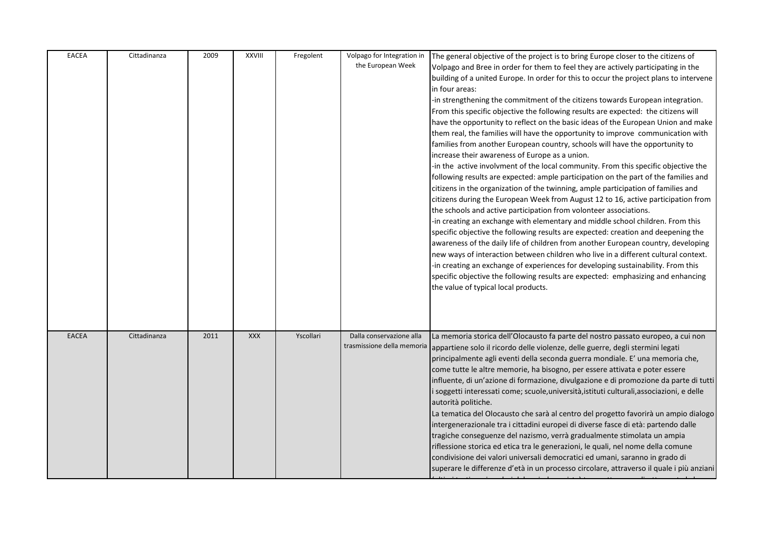| <b>EACEA</b> | Cittadinanza | 2009 | XXVIII     | Fregolent | Volpago for Integration in<br>the European Week        | The general objective of the project is to bring Europe closer to the citizens of<br>Volpago and Bree in order for them to feel they are actively participating in the<br>building of a united Europe. In order for this to occur the project plans to intervene<br>in four areas:<br>-in strengthening the commitment of the citizens towards European integration.<br>From this specific objective the following results are expected: the citizens will<br>have the opportunity to reflect on the basic ideas of the European Union and make<br>them real, the families will have the opportunity to improve communication with<br>families from another European country, schools will have the opportunity to<br>increase their awareness of Europe as a union.<br>-in the active involvment of the local community. From this specific objective the<br>following results are expected: ample participation on the part of the families and<br>citizens in the organization of the twinning, ample participation of families and<br>citizens during the European Week from August 12 to 16, active participation from<br>the schools and active participation from volonteer associations.<br>-in creating an exchange with elementary and middle school children. From this<br>specific objective the following results are expected: creation and deepening the<br>awareness of the daily life of children from another European country, developing<br>new ways of interaction between children who live in a different cultural context.<br>-in creating an exchange of experiences for developing sustainability. From this<br>specific objective the following results are expected: emphasizing and enhancing<br>the value of typical local products. |
|--------------|--------------|------|------------|-----------|--------------------------------------------------------|--------------------------------------------------------------------------------------------------------------------------------------------------------------------------------------------------------------------------------------------------------------------------------------------------------------------------------------------------------------------------------------------------------------------------------------------------------------------------------------------------------------------------------------------------------------------------------------------------------------------------------------------------------------------------------------------------------------------------------------------------------------------------------------------------------------------------------------------------------------------------------------------------------------------------------------------------------------------------------------------------------------------------------------------------------------------------------------------------------------------------------------------------------------------------------------------------------------------------------------------------------------------------------------------------------------------------------------------------------------------------------------------------------------------------------------------------------------------------------------------------------------------------------------------------------------------------------------------------------------------------------------------------------------------------------------------------------------------------------------------------------------------|
| <b>EACEA</b> | Cittadinanza | 2011 | <b>XXX</b> | Yscollari | Dalla conservazione alla<br>trasmissione della memoria | La memoria storica dell'Olocausto fa parte del nostro passato europeo, a cui non<br>appartiene solo il ricordo delle violenze, delle guerre, degli stermini legati<br>principalmente agli eventi della seconda guerra mondiale. E' una memoria che,<br>come tutte le altre memorie, ha bisogno, per essere attivata e poter essere<br>influente, di un'azione di formazione, divulgazione e di promozione da parte di tutti<br>i soggetti interessati come; scuole, università, istituti culturali, associazioni, e delle<br>autorità politiche.<br>La tematica del Olocausto che sarà al centro del progetto favorirà un ampio dialogo<br>intergenerazionale tra i cittadini europei di diverse fasce di età: partendo dalle<br>tragiche conseguenze del nazismo, verrà gradualmente stimolata un ampia<br>riflessione storica ed etica tra le generazioni, le quali, nel nome della comune<br>condivisione dei valori universali democratici ed umani, saranno in grado di<br>superare le differenze d'età in un processo circolare, attraverso il quale i più anziani                                                                                                                                                                                                                                                                                                                                                                                                                                                                                                                                                                                                                                                                                           |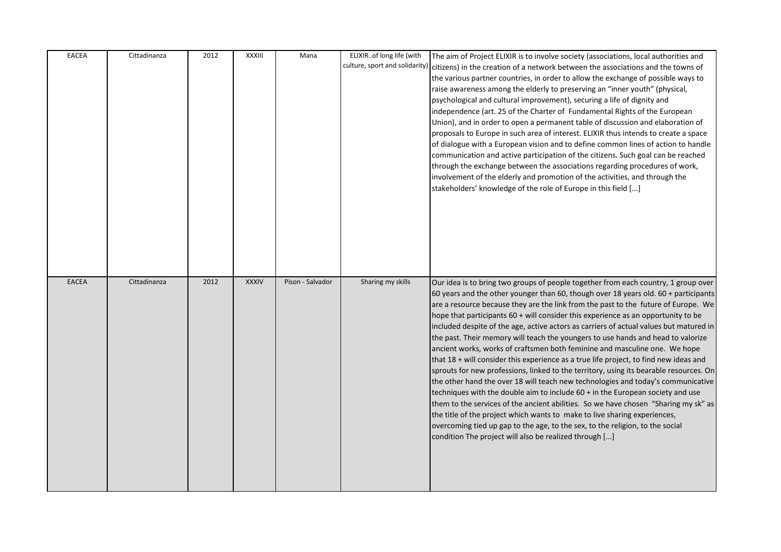| <b>EACEA</b> | Cittadinanza | 2012 | XXXIII       | Mana             | ELIXIRof long life (with | The aim of Project ELIXIR is to involve society (associations, local authorities and<br>culture, sport and solidarity) citizens) in the creation of a network between the associations and the towns of<br>the various partner countries, in order to allow the exchange of possible ways to<br>raise awareness among the elderly to preserving an "inner youth" (physical,<br>psychological and cultural improvement), securing a life of dignity and<br>independence (art. 25 of the Charter of Fundamental Rights of the European<br>Union), and in order to open a permanent table of discussion and elaboration of<br>proposals to Europe in such area of interest. ELIXIR thus intends to create a space<br>of dialogue with a European vision and to define common lines of action to handle<br>communication and active participation of the citizens. Such goal can be reached<br>through the exchange between the associations regarding procedures of work,<br>involvement of the elderly and promotion of the activities, and through the<br>stakeholders' knowledge of the role of Europe in this field []                                                                                                                                                                    |
|--------------|--------------|------|--------------|------------------|--------------------------|--------------------------------------------------------------------------------------------------------------------------------------------------------------------------------------------------------------------------------------------------------------------------------------------------------------------------------------------------------------------------------------------------------------------------------------------------------------------------------------------------------------------------------------------------------------------------------------------------------------------------------------------------------------------------------------------------------------------------------------------------------------------------------------------------------------------------------------------------------------------------------------------------------------------------------------------------------------------------------------------------------------------------------------------------------------------------------------------------------------------------------------------------------------------------------------------------------------------------------------------------------------------------------------------|
| <b>EACEA</b> | Cittadinanza | 2012 | <b>XXXIV</b> | Pison - Salvador | Sharing my skills        | Our idea is to bring two groups of people together from each country, 1 group over<br>60 years and the other younger than 60, though over 18 years old. 60 + participants<br>are a resource because they are the link from the past to the future of Europe. We<br>hope that participants 60 + will consider this experience as an opportunity to be<br>included despite of the age, active actors as carriers of actual values but matured in<br>the past. Their memory will teach the youngers to use hands and head to valorize<br>ancient works, works of craftsmen both feminine and masculine one. We hope<br>that 18 + will consider this experience as a true life project, to find new ideas and<br>sprouts for new professions, linked to the territory, using its bearable resources. On<br>the other hand the over 18 will teach new technologies and today's communicative<br>techniques with the double aim to include $60 +$ in the European society and use<br>them to the services of the ancient abilities. So we have chosen "Sharing my sk" as<br>the title of the project which wants to make to live sharing experiences,<br>overcoming tied up gap to the age, to the sex, to the religion, to the social<br>condition The project will also be realized through [] |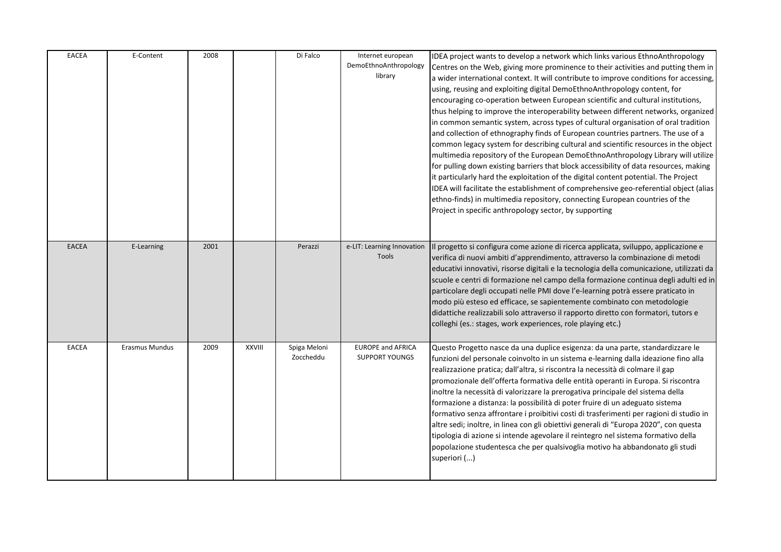| <b>EACEA</b> | E-Content             | 2008 |               | Di Falco                  | Internet european<br>DemoEthnoAnthropology<br>library | IDEA project wants to develop a network which links various EthnoAnthropology<br>Centres on the Web, giving more prominence to their activities and putting them in<br>a wider international context. It will contribute to improve conditions for accessing,<br>using, reusing and exploiting digital DemoEthnoAnthropology content, for<br>encouraging co-operation between European scientific and cultural institutions,<br>thus helping to improve the interoperability between different networks, organized<br>in common semantic system, across types of cultural organisation of oral tradition<br>and collection of ethnography finds of European countries partners. The use of a<br>common legacy system for describing cultural and scientific resources in the object<br>multimedia repository of the European DemoEthnoAnthropology Library will utilize<br>for pulling down existing barriers that block accessibility of data resources, making<br>it particularly hard the exploitation of the digital content potential. The Project<br>IDEA will facilitate the establishment of comprehensive geo-referential object (alias<br>ethno-finds) in multimedia repository, connecting European countries of the<br>Project in specific anthropology sector, by supporting |
|--------------|-----------------------|------|---------------|---------------------------|-------------------------------------------------------|-------------------------------------------------------------------------------------------------------------------------------------------------------------------------------------------------------------------------------------------------------------------------------------------------------------------------------------------------------------------------------------------------------------------------------------------------------------------------------------------------------------------------------------------------------------------------------------------------------------------------------------------------------------------------------------------------------------------------------------------------------------------------------------------------------------------------------------------------------------------------------------------------------------------------------------------------------------------------------------------------------------------------------------------------------------------------------------------------------------------------------------------------------------------------------------------------------------------------------------------------------------------------------------------|
| EACEA        | E-Learning            | 2001 |               | Perazzi                   | e-LIT: Learning Innovation<br>Tools                   | Il progetto si configura come azione di ricerca applicata, sviluppo, applicazione e<br>verifica di nuovi ambiti d'apprendimento, attraverso la combinazione di metodi<br>educativi innovativi, risorse digitali e la tecnologia della comunicazione, utilizzati da<br>scuole e centri di formazione nel campo della formazione continua degli adulti ed in<br>particolare degli occupati nelle PMI dove l'e-learning potrà essere praticato in<br>modo più esteso ed efficace, se sapientemente combinato con metodologie<br>didattiche realizzabili solo attraverso il rapporto diretto con formatori, tutors e<br>colleghi (es.: stages, work experiences, role playing etc.)                                                                                                                                                                                                                                                                                                                                                                                                                                                                                                                                                                                                           |
| <b>EACEA</b> | <b>Erasmus Mundus</b> | 2009 | <b>XXVIII</b> | Spiga Meloni<br>Zoccheddu | <b>EUROPE and AFRICA</b><br><b>SUPPORT YOUNGS</b>     | Questo Progetto nasce da una duplice esigenza: da una parte, standardizzare le<br>funzioni del personale coinvolto in un sistema e-learning dalla ideazione fino alla<br>realizzazione pratica; dall'altra, si riscontra la necessità di colmare il gap<br>promozionale dell'offerta formativa delle entità operanti in Europa. Si riscontra<br>inoltre la necessità di valorizzare la prerogativa principale del sistema della<br>formazione a distanza: la possibilità di poter fruire di un adeguato sistema<br>formativo senza affrontare i proibitivi costi di trasferimenti per ragioni di studio in<br>altre sedi; inoltre, in linea con gli obiettivi generali di "Europa 2020", con questa<br>tipologia di azione si intende agevolare il reintegro nel sistema formativo della<br>popolazione studentesca che per qualsivoglia motivo ha abbandonato gli studi<br>superiori ()                                                                                                                                                                                                                                                                                                                                                                                                  |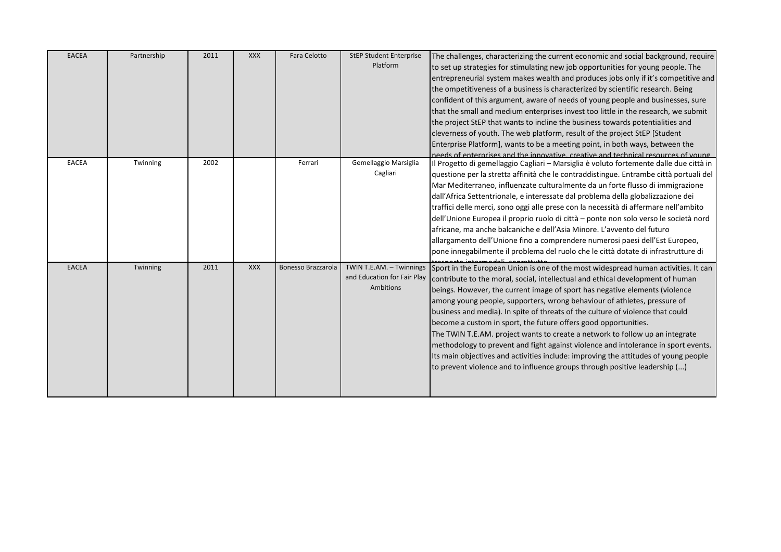| <b>EACEA</b> | Partnership | 2011 | <b>XXX</b> | Fara Celotto       | <b>StEP Student Enterprise</b><br>Platform                           | The challenges, characterizing the current economic and social background, require<br>to set up strategies for stimulating new job opportunities for young people. The<br>entrepreneurial system makes wealth and produces jobs only if it's competitive and<br>the ompetitiveness of a business is characterized by scientific research. Being<br>confident of this argument, aware of needs of young people and businesses, sure<br>that the small and medium enterprises invest too little in the research, we submit<br>the project StEP that wants to incline the business towards potentialities and<br>cleverness of youth. The web platform, result of the project StEP [Student<br>Enterprise Platform], wants to be a meeting point, in both ways, between the<br>needs of enterprises and the innovative, creative and technical resources of young |
|--------------|-------------|------|------------|--------------------|----------------------------------------------------------------------|----------------------------------------------------------------------------------------------------------------------------------------------------------------------------------------------------------------------------------------------------------------------------------------------------------------------------------------------------------------------------------------------------------------------------------------------------------------------------------------------------------------------------------------------------------------------------------------------------------------------------------------------------------------------------------------------------------------------------------------------------------------------------------------------------------------------------------------------------------------|
| <b>EACEA</b> | Twinning    | 2002 |            | Ferrari            | Gemellaggio Marsiglia<br>Cagliari                                    | Il Progetto di gemellaggio Cagliari - Marsiglia è voluto fortemente dalle due città in<br>questione per la stretta affinità che le contraddistingue. Entrambe città portuali del<br>Mar Mediterraneo, influenzate culturalmente da un forte flusso di immigrazione<br>dall'Africa Settentrionale, e interessate dal problema della globalizzazione dei<br>traffici delle merci, sono oggi alle prese con la necessità di affermare nell'ambito<br>dell'Unione Europea il proprio ruolo di città - ponte non solo verso le società nord<br>africane, ma anche balcaniche e dell'Asia Minore. L'avvento del futuro<br>allargamento dell'Unione fino a comprendere numerosi paesi dell'Est Europeo,<br>pone innegabilmente il problema del ruolo che le città dotate di infrastrutture di                                                                         |
| <b>EACEA</b> | Twinning    | 2011 | XXX        | Bonesso Brazzarola | TWIN T.E.AM. - Twinnings<br>and Education for Fair Play<br>Ambitions | Sport in the European Union is one of the most widespread human activities. It can<br>contribute to the moral, social, intellectual and ethical development of human<br>beings. However, the current image of sport has negative elements (violence<br>among young people, supporters, wrong behaviour of athletes, pressure of<br>business and media). In spite of threats of the culture of violence that could<br>become a custom in sport, the future offers good opportunities.<br>The TWIN T.E.AM. project wants to create a network to follow up an integrate<br>methodology to prevent and fight against violence and intolerance in sport events.<br>Its main objectives and activities include: improving the attitudes of young people<br>to prevent violence and to influence groups through positive leadership ()                                |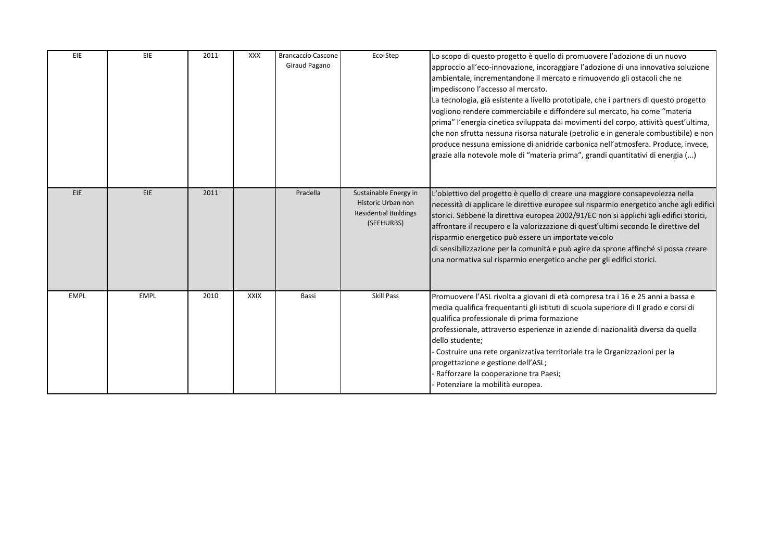| EIE         | EIE         | 2011 | XXX         | <b>Brancaccio Cascone</b><br>Giraud Pagano | Eco-Step                                                                                  | Lo scopo di questo progetto è quello di promuovere l'adozione di un nuovo<br>approccio all'eco-innovazione, incoraggiare l'adozione di una innovativa soluzione<br>ambientale, incrementandone il mercato e rimuovendo gli ostacoli che ne<br>impediscono l'accesso al mercato.<br>La tecnologia, già esistente a livello prototipale, che i partners di questo progetto<br>vogliono rendere commerciabile e diffondere sul mercato, ha come "materia"<br>prima" l'energia cinetica sviluppata dai movimenti del corpo, attività quest'ultima,<br>che non sfrutta nessuna risorsa naturale (petrolio e in generale combustibile) e non<br>produce nessuna emissione di anidride carbonica nell'atmosfera. Produce, invece,<br>grazie alla notevole mole di "materia prima", grandi quantitativi di energia () |
|-------------|-------------|------|-------------|--------------------------------------------|-------------------------------------------------------------------------------------------|---------------------------------------------------------------------------------------------------------------------------------------------------------------------------------------------------------------------------------------------------------------------------------------------------------------------------------------------------------------------------------------------------------------------------------------------------------------------------------------------------------------------------------------------------------------------------------------------------------------------------------------------------------------------------------------------------------------------------------------------------------------------------------------------------------------|
| EIE         | <b>EIE</b>  | 2011 |             | Pradella                                   | Sustainable Energy in<br>Historic Urban non<br><b>Residential Buildings</b><br>(SEEHURBS) | L'obiettivo del progetto è quello di creare una maggiore consapevolezza nella<br>necessità di applicare le direttive europee sul risparmio energetico anche agli edifici<br>storici. Sebbene la direttiva europea 2002/91/EC non si applichi agli edifici storici,<br>affrontare il recupero e la valorizzazione di quest'ultimi secondo le direttive del<br>risparmio energetico può essere un importate veicolo<br>di sensibilizzazione per la comunità e può agire da sprone affinché si possa creare<br>una normativa sul risparmio energetico anche per gli edifici storici.                                                                                                                                                                                                                             |
| <b>EMPL</b> | <b>EMPL</b> | 2010 | <b>XXIX</b> | Bassi                                      | <b>Skill Pass</b>                                                                         | Promuovere l'ASL rivolta a giovani di età compresa tra i 16 e 25 anni a bassa e<br>media qualifica frequentanti gli istituti di scuola superiore di Il grado e corsi di<br>qualifica professionale di prima formazione<br>professionale, attraverso esperienze in aziende di nazionalità diversa da quella<br>dello studente;<br>Costruire una rete organizzativa territoriale tra le Organizzazioni per la<br>progettazione e gestione dell'ASL;<br>Rafforzare la cooperazione tra Paesi;<br>Potenziare la mobilità europea.                                                                                                                                                                                                                                                                                 |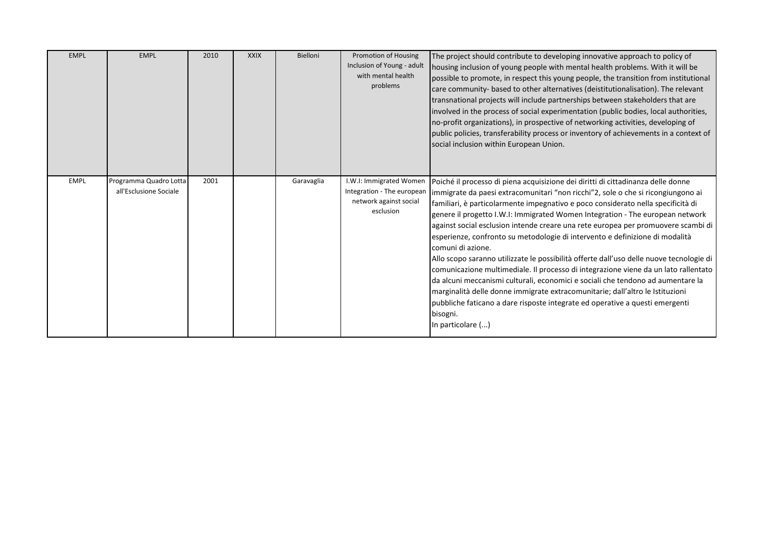| <b>EMPL</b> | <b>EMPL</b>                                      | 2010 | <b>XXIX</b> | Bielloni   | <b>Promotion of Housing</b><br>Inclusion of Young - adult<br>with mental health<br>problems  | The project should contribute to developing innovative approach to policy of<br>housing inclusion of young people with mental health problems. With it will be<br>possible to promote, in respect this young people, the transition from institutional<br>care community- based to other alternatives (deistitutionalisation). The relevant<br>transnational projects will include partnerships between stakeholders that are<br>involved in the process of social experimentation (public bodies, local authorities,<br>no-profit organizations), in prospective of networking activities, developing of<br>public policies, transferability process or inventory of achievements in a context of<br>social inclusion within European Union.                                                                                                                                                                                                                                                              |
|-------------|--------------------------------------------------|------|-------------|------------|----------------------------------------------------------------------------------------------|------------------------------------------------------------------------------------------------------------------------------------------------------------------------------------------------------------------------------------------------------------------------------------------------------------------------------------------------------------------------------------------------------------------------------------------------------------------------------------------------------------------------------------------------------------------------------------------------------------------------------------------------------------------------------------------------------------------------------------------------------------------------------------------------------------------------------------------------------------------------------------------------------------------------------------------------------------------------------------------------------------|
| <b>EMPL</b> | Programma Quadro Lotta<br>all'Esclusione Sociale | 2001 |             | Garavaglia | I.W.I: Immigrated Women<br>Integration - The european<br>network against social<br>esclusion | Poiché il processo di piena acquisizione dei diritti di cittadinanza delle donne<br>immigrate da paesi extracomunitari "non ricchi"2, sole o che si ricongiungono ai<br>familiari, è particolarmente impegnativo e poco considerato nella specificità di<br>genere il progetto I.W.I: Immigrated Women Integration - The european network<br>against social esclusion intende creare una rete europea per promuovere scambi di<br>esperienze, confronto su metodologie di intervento e definizione di modalità<br>comuni di azione.<br>Allo scopo saranno utilizzate le possibilità offerte dall'uso delle nuove tecnologie di<br>comunicazione multimediale. Il processo di integrazione viene da un lato rallentato<br>da alcuni meccanismi culturali, economici e sociali che tendono ad aumentare la<br>marginalità delle donne immigrate extracomunitarie; dall'altro le Istituzioni<br>pubbliche faticano a dare risposte integrate ed operative a questi emergenti<br>bisogni.<br>In particolare () |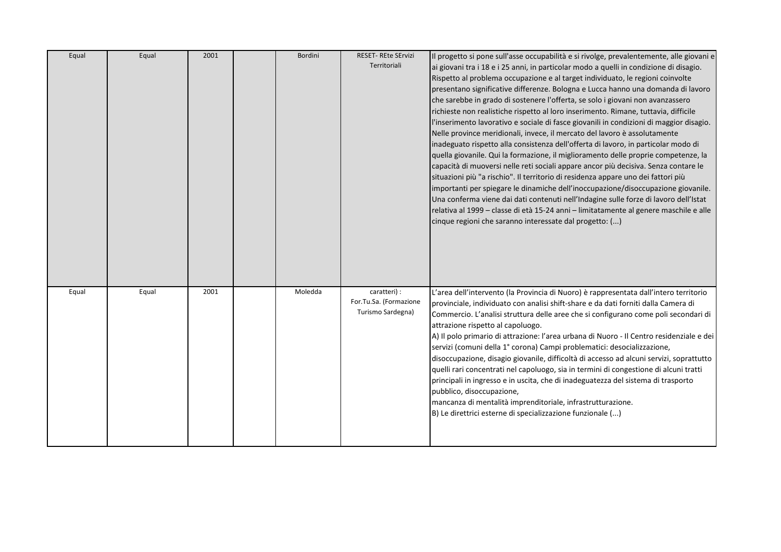| Equal | Equal | 2001 | Bordini | <b>RESET- REte SErvizi</b>             | Il progetto si pone sull'asse occupabilità e si rivolge, prevalentemente, alle giovani e                       |
|-------|-------|------|---------|----------------------------------------|----------------------------------------------------------------------------------------------------------------|
|       |       |      |         | Territoriali                           | ai giovani tra i 18 e i 25 anni, in particolar modo a quelli in condizione di disagio.                         |
|       |       |      |         |                                        | Rispetto al problema occupazione e al target individuato, le regioni coinvolte                                 |
|       |       |      |         |                                        | presentano significative differenze. Bologna e Lucca hanno una domanda di lavoro                               |
|       |       |      |         |                                        | che sarebbe in grado di sostenere l'offerta, se solo i giovani non avanzassero                                 |
|       |       |      |         |                                        | richieste non realistiche rispetto al loro inserimento. Rimane, tuttavia, difficile                            |
|       |       |      |         |                                        | l'inserimento lavorativo e sociale di fasce giovanili in condizioni di maggior disagio.                        |
|       |       |      |         |                                        | Nelle province meridionali, invece, il mercato del lavoro è assolutamente                                      |
|       |       |      |         |                                        | inadeguato rispetto alla consistenza dell'offerta di lavoro, in particolar modo di                             |
|       |       |      |         |                                        | quella giovanile. Qui la formazione, il miglioramento delle proprie competenze, la                             |
|       |       |      |         |                                        | capacità di muoversi nelle reti sociali appare ancor più decisiva. Senza contare le                            |
|       |       |      |         |                                        | situazioni più "a rischio". Il territorio di residenza appare uno dei fattori più                              |
|       |       |      |         |                                        | importanti per spiegare le dinamiche dell'inoccupazione/disoccupazione giovanile.                              |
|       |       |      |         |                                        | Una conferma viene dai dati contenuti nell'Indagine sulle forze di lavoro dell'Istat                           |
|       |       |      |         |                                        | relativa al 1999 – classe di età 15-24 anni – limitatamente al genere maschile e alle                          |
|       |       |      |         |                                        | cinque regioni che saranno interessate dal progetto: ()                                                        |
|       |       |      |         |                                        |                                                                                                                |
|       |       |      |         |                                        |                                                                                                                |
|       |       |      |         |                                        |                                                                                                                |
|       |       |      |         |                                        |                                                                                                                |
|       |       |      |         |                                        |                                                                                                                |
| Equal | Equal | 2001 | Moledda | caratteri) :<br>For.Tu.Sa. (Formazione | L'area dell'intervento (la Provincia di Nuoro) è rappresentata dall'intero territorio                          |
|       |       |      |         | Turismo Sardegna)                      | provinciale, individuato con analisi shift-share e da dati forniti dalla Camera di                             |
|       |       |      |         |                                        | Commercio. L'analisi struttura delle aree che si configurano come poli secondari di                            |
|       |       |      |         |                                        | attrazione rispetto al capoluogo.                                                                              |
|       |       |      |         |                                        | A) Il polo primario di attrazione: l'area urbana di Nuoro - Il Centro residenziale e dei                       |
|       |       |      |         |                                        | servizi (comuni della 1° corona) Campi problematici: desocializzazione,                                        |
|       |       |      |         |                                        | disoccupazione, disagio giovanile, difficoltà di accesso ad alcuni servizi, soprattutto                        |
|       |       |      |         |                                        | quelli rari concentrati nel capoluogo, sia in termini di congestione di alcuni tratti                          |
|       |       |      |         |                                        | principali in ingresso e in uscita, che di inadeguatezza del sistema di trasporto<br>pubblico, disoccupazione, |
|       |       |      |         |                                        | mancanza di mentalità imprenditoriale, infrastrutturazione.                                                    |
|       |       |      |         |                                        | B) Le direttrici esterne di specializzazione funzionale ()                                                     |
|       |       |      |         |                                        |                                                                                                                |
|       |       |      |         |                                        |                                                                                                                |
|       |       |      |         |                                        |                                                                                                                |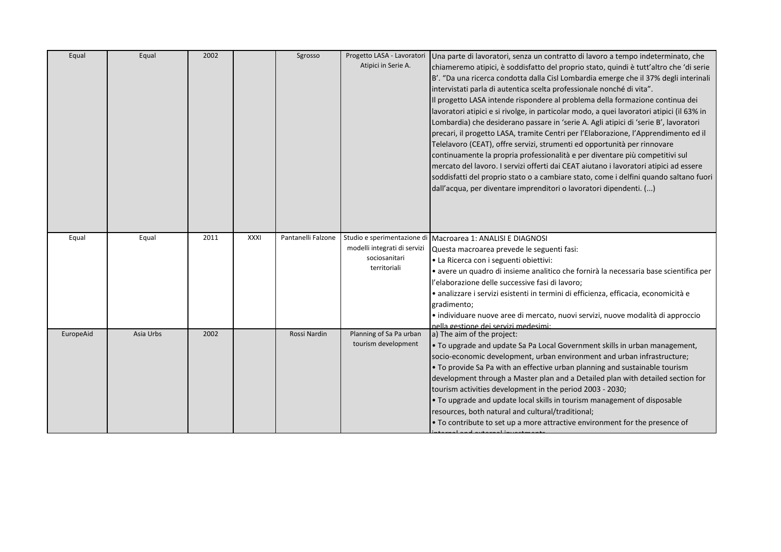| Equal     | Equal     | 2002 |             | Sgrosso            | Progetto LASA - Lavoratori<br>Atipici in Serie A.                                            | Una parte di lavoratori, senza un contratto di lavoro a tempo indeterminato, che<br>chiameremo atipici, è soddisfatto del proprio stato, quindi è tutt'altro che 'di serie<br>B'. "Da una ricerca condotta dalla Cisl Lombardia emerge che il 37% degli interinali<br>intervistati parla di autentica scelta professionale nonché di vita".<br>Il progetto LASA intende rispondere al problema della formazione continua dei<br>lavoratori atipici e si rivolge, in particolar modo, a quei lavoratori atipici (il 63% in<br>Lombardia) che desiderano passare in 'serie A. Agli atipici di 'serie B', lavoratori<br>precari, il progetto LASA, tramite Centri per l'Elaborazione, l'Apprendimento ed il<br>Telelavoro (CEAT), offre servizi, strumenti ed opportunità per rinnovare<br>continuamente la propria professionalità e per diventare più competitivi sul<br>mercato del lavoro. I servizi offerti dai CEAT aiutano i lavoratori atipici ad essere<br>soddisfatti del proprio stato o a cambiare stato, come i delfini quando saltano fuori<br>dall'acqua, per diventare imprenditori o lavoratori dipendenti. () |
|-----------|-----------|------|-------------|--------------------|----------------------------------------------------------------------------------------------|------------------------------------------------------------------------------------------------------------------------------------------------------------------------------------------------------------------------------------------------------------------------------------------------------------------------------------------------------------------------------------------------------------------------------------------------------------------------------------------------------------------------------------------------------------------------------------------------------------------------------------------------------------------------------------------------------------------------------------------------------------------------------------------------------------------------------------------------------------------------------------------------------------------------------------------------------------------------------------------------------------------------------------------------------------------------------------------------------------------------------|
| Equal     | Equal     | 2011 | <b>XXXI</b> | Pantanelli Falzone | Studio e sperimentazione di<br>modelli integrati di servizi<br>sociosanitari<br>territoriali | Macroarea 1: ANALISI E DIAGNOSI<br>Questa macroarea prevede le seguenti fasi:<br>· La Ricerca con i seguenti obiettivi:<br>· avere un quadro di insieme analitico che fornirà la necessaria base scientifica per<br>l'elaborazione delle successive fasi di lavoro;<br>· analizzare i servizi esistenti in termini di efficienza, efficacia, economicità e<br>gradimento;<br>· individuare nuove aree di mercato, nuovi servizi, nuove modalità di approccio<br>nella gestione dei servizi medesimi:                                                                                                                                                                                                                                                                                                                                                                                                                                                                                                                                                                                                                         |
| EuropeAid | Asia Urbs | 2002 |             | Rossi Nardin       | Planning of Sa Pa urban<br>tourism development                                               | a) The aim of the project:<br>. To upgrade and update Sa Pa Local Government skills in urban management,<br>socio-economic development, urban environment and urban infrastructure;<br>. To provide Sa Pa with an effective urban planning and sustainable tourism<br>development through a Master plan and a Detailed plan with detailed section for<br>tourism activities development in the period 2003 - 2030;<br>. To upgrade and update local skills in tourism management of disposable<br>resources, both natural and cultural/traditional;<br>. To contribute to set up a more attractive environment for the presence of                                                                                                                                                                                                                                                                                                                                                                                                                                                                                           |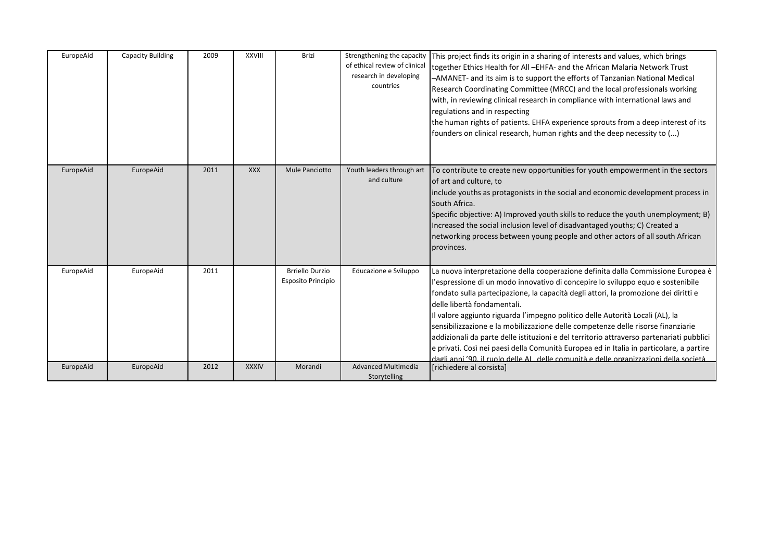| EuropeAid | <b>Capacity Building</b> | 2009 | <b>XXVIII</b> | <b>Brizi</b>                                 | Strengthening the capacity<br>of ethical review of clinica<br>research in developing<br>countries | This project finds its origin in a sharing of interests and values, which brings<br>together Ethics Health for All -EHFA- and the African Malaria Network Trust<br>-AMANET- and its aim is to support the efforts of Tanzanian National Medical<br>Research Coordinating Committee (MRCC) and the local professionals working<br>with, in reviewing clinical research in compliance with international laws and<br>regulations and in respecting<br>the human rights of patients. EHFA experience sprouts from a deep interest of its<br>founders on clinical research, human rights and the deep necessity to ()                                                                                                                             |
|-----------|--------------------------|------|---------------|----------------------------------------------|---------------------------------------------------------------------------------------------------|-----------------------------------------------------------------------------------------------------------------------------------------------------------------------------------------------------------------------------------------------------------------------------------------------------------------------------------------------------------------------------------------------------------------------------------------------------------------------------------------------------------------------------------------------------------------------------------------------------------------------------------------------------------------------------------------------------------------------------------------------|
| EuropeAid | EuropeAid                | 2011 | <b>XXX</b>    | Mule Panciotto                               | Youth leaders through art<br>and culture                                                          | To contribute to create new opportunities for youth empowerment in the sectors<br>of art and culture, to<br>include youths as protagonists in the social and economic development process in<br>South Africa.<br>(Specific objective: A) Improved youth skills to reduce the youth unemployment; B)<br>Increased the social inclusion level of disadvantaged youths; C) Created a<br>networking process between young people and other actors of all south African<br>provinces.                                                                                                                                                                                                                                                              |
| EuropeAid | EuropeAid                | 2011 |               | <b>Brriello Durzio</b><br>Esposito Principio | Educazione e Sviluppo                                                                             | La nuova interpretazione della cooperazione definita dalla Commissione Europea è<br>l'espressione di un modo innovativo di concepire lo sviluppo equo e sostenibile<br>fondato sulla partecipazione, la capacità degli attori, la promozione dei diritti e<br>delle libertà fondamentali.<br>Il valore aggiunto riguarda l'impegno politico delle Autorità Locali (AL), la<br>sensibilizzazione e la mobilizzazione delle competenze delle risorse finanziarie<br>addizionali da parte delle istituzioni e del territorio attraverso partenariati pubblici<br>e privati. Così nei paesi della Comunità Europea ed in Italia in particolare, a partire<br>dagli anni '90 il ruolo delle AL delle comunità e delle organizzazioni della società |
| EuropeAid | EuropeAid                | 2012 | <b>XXXIV</b>  | Morandi                                      | <b>Advanced Multimedia</b><br>Storytelling                                                        | [richiedere al corsista]                                                                                                                                                                                                                                                                                                                                                                                                                                                                                                                                                                                                                                                                                                                      |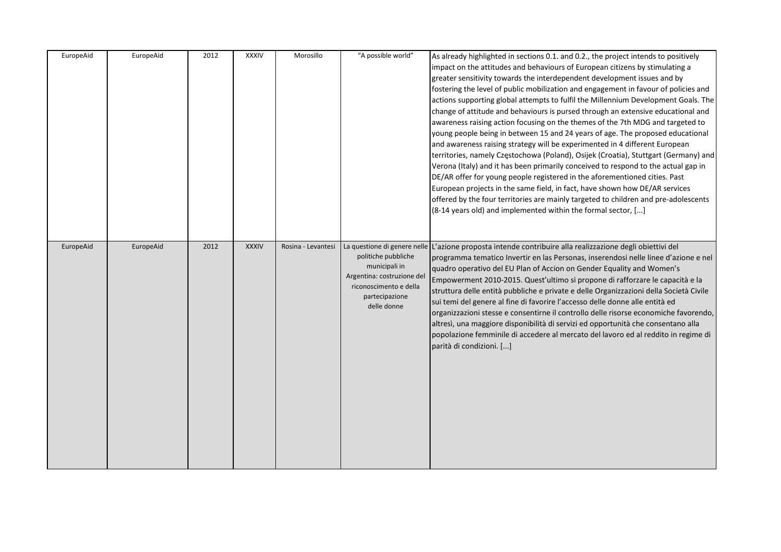| EuropeAid | EuropeAid | 2012 | <b>XXXIV</b> | Morosillo          | "A possible world"                                                                                                            | As already highlighted in sections 0.1. and 0.2., the project intends to positively<br>impact on the attitudes and behaviours of European citizens by stimulating a<br>greater sensitivity towards the interdependent development issues and by<br>fostering the level of public mobilization and engagement in favour of policies and<br>actions supporting global attempts to fulfil the Millennium Development Goals. The<br>change of attitude and behaviours is pursed through an extensive educational and<br>awareness raising action focusing on the themes of the 7th MDG and targeted to<br>young people being in between 15 and 24 years of age. The proposed educational<br>and awareness raising strategy will be experimented in 4 different European<br>territories, namely Częstochowa (Poland), Osijek (Croatia), Stuttgart (Germany) and<br>Verona (Italy) and it has been primarily conceived to respond to the actual gap in<br>DE/AR offer for young people registered in the aforementioned cities. Past<br>European projects in the same field, in fact, have shown how DE/AR services<br>offered by the four territories are mainly targeted to children and pre-adolescents<br>(8-14 years old) and implemented within the formal sector, [] |
|-----------|-----------|------|--------------|--------------------|-------------------------------------------------------------------------------------------------------------------------------|-----------------------------------------------------------------------------------------------------------------------------------------------------------------------------------------------------------------------------------------------------------------------------------------------------------------------------------------------------------------------------------------------------------------------------------------------------------------------------------------------------------------------------------------------------------------------------------------------------------------------------------------------------------------------------------------------------------------------------------------------------------------------------------------------------------------------------------------------------------------------------------------------------------------------------------------------------------------------------------------------------------------------------------------------------------------------------------------------------------------------------------------------------------------------------------------------------------------------------------------------------------------------|
| EuropeAid | EuropeAid | 2012 | <b>XXXIV</b> | Rosina - Levantesi | politiche pubbliche<br>municipali in<br>Argentina: costruzione del<br>riconoscimento e della<br>partecipazione<br>delle donne | La questione di genere nelle L'azione proposta intende contribuire alla realizzazione degli obiettivi del<br>programma tematico Invertir en las Personas, inserendosi nelle linee d'azione e nel<br>quadro operativo del EU Plan of Accion on Gender Equality and Women's<br>Empowerment 2010-2015. Quest'ultimo si propone di rafforzare le capacità e la<br>struttura delle entità pubbliche e private e delle Organizzazioni della Società Civile<br>sui temi del genere al fine di favorire l'accesso delle donne alle entità ed<br>organizzazioni stesse e consentirne il controllo delle risorse economiche favorendo,<br>altresì, una maggiore disponibilità di servizi ed opportunità che consentano alla<br>popolazione femminile di accedere al mercato del lavoro ed al reddito in regime di<br>parità di condizioni. []                                                                                                                                                                                                                                                                                                                                                                                                                                   |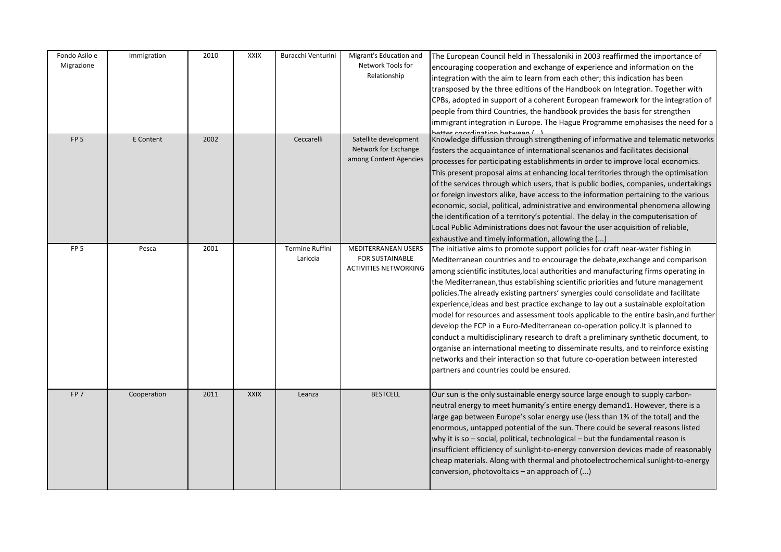| Fondo Asilo e<br>Migrazione | Immigration | 2010 | <b>XXIX</b> | Buracchi Venturini          | Migrant's Education and<br>Network Tools for<br>Relationship                         | The European Council held in Thessaloniki in 2003 reaffirmed the importance of<br>encouraging cooperation and exchange of experience and information on the<br>integration with the aim to learn from each other; this indication has been<br>transposed by the three editions of the Handbook on Integration. Together with<br>CPBs, adopted in support of a coherent European framework for the integration of<br>people from third Countries, the handbook provides the basis for strengthen<br>immigrant integration in Europe. The Hague Programme emphasises the need for a<br>ttor coordination botwoon L                                                                                                                                                                                                                                                                                                                                                                                           |
|-----------------------------|-------------|------|-------------|-----------------------------|--------------------------------------------------------------------------------------|------------------------------------------------------------------------------------------------------------------------------------------------------------------------------------------------------------------------------------------------------------------------------------------------------------------------------------------------------------------------------------------------------------------------------------------------------------------------------------------------------------------------------------------------------------------------------------------------------------------------------------------------------------------------------------------------------------------------------------------------------------------------------------------------------------------------------------------------------------------------------------------------------------------------------------------------------------------------------------------------------------|
| FP <sub>5</sub>             | E Content   | 2002 |             | Ceccarelli                  | Satellite development<br>Network for Exchange<br>among Content Agencies              | Knowledge diffussion through strengthening of informative and telematic networks<br>fosters the acquaintance of international scenarios and facilitates decisional<br>processes for participating establishments in order to improve local economics.<br>This present proposal aims at enhancing local territories through the optimisation<br>of the services through which users, that is public bodies, companies, undertakings<br>or foreign investors alike, have access to the information pertaining to the various<br>economic, social, political, administrative and environmental phenomena allowing<br>the identification of a territory's potential. The delay in the computerisation of<br>Local Public Administrations does not favour the user acquisition of reliable,<br>exhaustive and timely information, allowing the ()                                                                                                                                                               |
| FP <sub>5</sub>             | Pesca       | 2001 |             | Termine Ruffini<br>Lariccia | <b>MEDITERRANEAN USERS</b><br><b>FOR SUSTAINABLE</b><br><b>ACTIVITIES NETWORKING</b> | The initiative aims to promote support policies for craft near-water fishing in<br>Mediterranean countries and to encourage the debate, exchange and comparison<br>among scientific institutes, local authorities and manufacturing firms operating in<br>the Mediterranean, thus establishing scientific priorities and future management<br>policies. The already existing partners' synergies could consolidate and facilitate<br>experience, ideas and best practice exchange to lay out a sustainable exploitation<br>model for resources and assessment tools applicable to the entire basin, and further<br>develop the FCP in a Euro-Mediterranean co-operation policy. It is planned to<br>conduct a multidisciplinary research to draft a preliminary synthetic document, to<br>organise an international meeting to disseminate results, and to reinforce existing<br>networks and their interaction so that future co-operation between interested<br>partners and countries could be ensured. |
| FP <sub>7</sub>             | Cooperation | 2011 | <b>XXIX</b> | Leanza                      | <b>BESTCELL</b>                                                                      | Our sun is the only sustainable energy source large enough to supply carbon-<br>neutral energy to meet humanity's entire energy demand1. However, there is a<br>large gap between Europe's solar energy use (less than 1% of the total) and the<br>enormous, untapped potential of the sun. There could be several reasons listed<br>why it is so $-$ social, political, technological $-$ but the fundamental reason is<br>insufficient efficiency of sunlight-to-energy conversion devices made of reasonably<br>cheap materials. Along with thermal and photoelectrochemical sunlight-to-energy<br>conversion, photovoltaics $-$ an approach of $()$                                                                                                                                                                                                                                                                                                                                                    |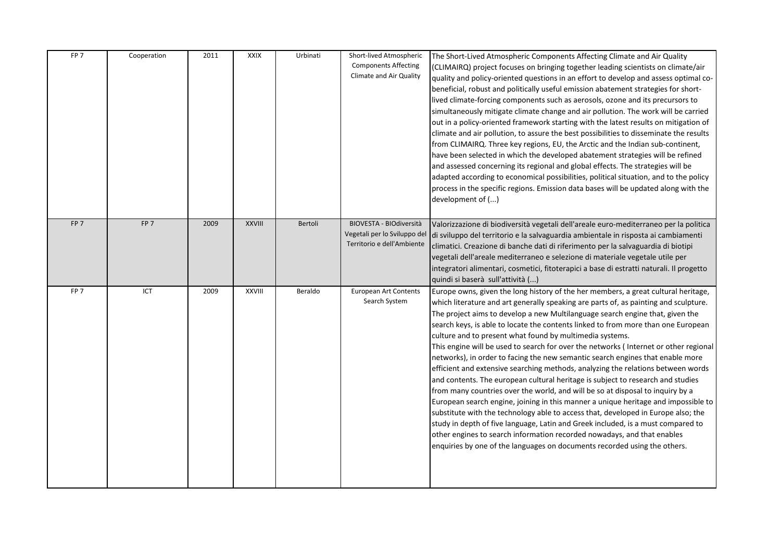| FP <sub>7</sub> | Cooperation     | 2011 | <b>XXIX</b>   | Urbinati | Short-lived Atmospheric<br><b>Components Affecting</b><br>Climate and Air Quality     | The Short-Lived Atmospheric Components Affecting Climate and Air Quality<br>(CLIMAIRQ) project focuses on bringing together leading scientists on climate/air<br>quality and policy-oriented questions in an effort to develop and assess optimal co-<br>beneficial, robust and politically useful emission abatement strategies for short-<br>lived climate-forcing components such as aerosols, ozone and its precursors to<br>simultaneously mitigate climate change and air pollution. The work will be carried<br>out in a policy-oriented framework starting with the latest results on mitigation of<br>climate and air pollution, to assure the best possibilities to disseminate the results<br>from CLIMAIRQ. Three key regions, EU, the Arctic and the Indian sub-continent,<br>have been selected in which the developed abatement strategies will be refined<br>and assessed concerning its regional and global effects. The strategies will be<br>adapted according to economical possibilities, political situation, and to the policy<br>process in the specific regions. Emission data bases will be updated along with the<br>development of ()                                                                                                      |
|-----------------|-----------------|------|---------------|----------|---------------------------------------------------------------------------------------|------------------------------------------------------------------------------------------------------------------------------------------------------------------------------------------------------------------------------------------------------------------------------------------------------------------------------------------------------------------------------------------------------------------------------------------------------------------------------------------------------------------------------------------------------------------------------------------------------------------------------------------------------------------------------------------------------------------------------------------------------------------------------------------------------------------------------------------------------------------------------------------------------------------------------------------------------------------------------------------------------------------------------------------------------------------------------------------------------------------------------------------------------------------------------------------------------------------------------------------------------------------------|
| FP <sub>7</sub> | FP <sub>7</sub> | 2009 | <b>XXVIII</b> | Bertoli  | BIOVESTA - BIOdiversità<br>Vegetali per lo Sviluppo del<br>Territorio e dell'Ambiente | Valorizzazione di biodiversità vegetali dell'areale euro-mediterraneo per la politica<br>di sviluppo del territorio e la salvaguardia ambientale in risposta ai cambiamenti<br>climatici. Creazione di banche dati di riferimento per la salvaguardia di biotipi<br>vegetali dell'areale mediterraneo e selezione di materiale vegetale utile per<br>integratori alimentari, cosmetici, fitoterapici a base di estratti naturali. Il progetto<br>quindi si baserà sull'attività ()                                                                                                                                                                                                                                                                                                                                                                                                                                                                                                                                                                                                                                                                                                                                                                                     |
| FP <sub>7</sub> | ICT             | 2009 | XXVIII        | Beraldo  | <b>European Art Contents</b><br>Search System                                         | Europe owns, given the long history of the her members, a great cultural heritage,<br>which literature and art generally speaking are parts of, as painting and sculpture.<br>The project aims to develop a new Multilanguage search engine that, given the<br>search keys, is able to locate the contents linked to from more than one European<br>culture and to present what found by multimedia systems.<br>This engine will be used to search for over the networks (Internet or other regional<br>networks), in order to facing the new semantic search engines that enable more<br>efficient and extensive searching methods, analyzing the relations between words<br>and contents. The european cultural heritage is subject to research and studies<br>from many countries over the world, and will be so at disposal to inquiry by a<br>European search engine, joining in this manner a unique heritage and impossible to<br>substitute with the technology able to access that, developed in Europe also; the<br>study in depth of five language, Latin and Greek included, is a must compared to<br>other engines to search information recorded nowadays, and that enables<br>enquiries by one of the languages on documents recorded using the others. |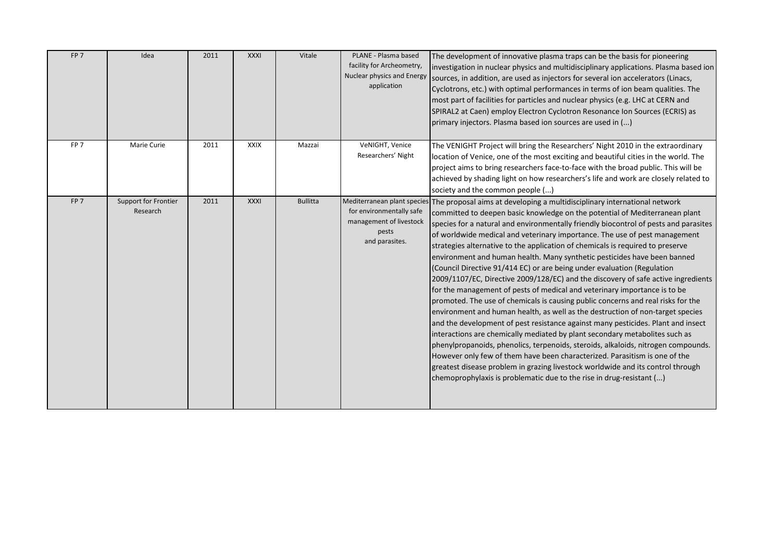| FP <sub>7</sub> | Idea                             | 2011 | <b>XXXI</b> | Vitale          | PLANE - Plasma based<br>facility for Archeometry,<br>Nuclear physics and Energy<br>application | The development of innovative plasma traps can be the basis for pioneering<br>investigation in nuclear physics and multidisciplinary applications. Plasma based ion<br>sources, in addition, are used as injectors for several ion accelerators (Linacs,<br>Cyclotrons, etc.) with optimal performances in terms of ion beam qualities. The<br>most part of facilities for particles and nuclear physics (e.g. LHC at CERN and<br>SPIRAL2 at Caen) employ Electron Cyclotron Resonance Ion Sources (ECRIS) as<br>primary injectors. Plasma based ion sources are used in ()                                                                                                                                                                                                                                                                                                                                                                                                                                                                                                                                                                                                                                                                                                                                                                                                                                                                  |
|-----------------|----------------------------------|------|-------------|-----------------|------------------------------------------------------------------------------------------------|----------------------------------------------------------------------------------------------------------------------------------------------------------------------------------------------------------------------------------------------------------------------------------------------------------------------------------------------------------------------------------------------------------------------------------------------------------------------------------------------------------------------------------------------------------------------------------------------------------------------------------------------------------------------------------------------------------------------------------------------------------------------------------------------------------------------------------------------------------------------------------------------------------------------------------------------------------------------------------------------------------------------------------------------------------------------------------------------------------------------------------------------------------------------------------------------------------------------------------------------------------------------------------------------------------------------------------------------------------------------------------------------------------------------------------------------|
| FP <sub>7</sub> | Marie Curie                      | 2011 | <b>XXIX</b> | Mazzai          | VeNIGHT, Venice<br>Researchers' Night                                                          | The VENIGHT Project will bring the Researchers' Night 2010 in the extraordinary<br>location of Venice, one of the most exciting and beautiful cities in the world. The<br>project aims to bring researchers face-to-face with the broad public. This will be<br>achieved by shading light on how researchers's life and work are closely related to<br>society and the common people ()                                                                                                                                                                                                                                                                                                                                                                                                                                                                                                                                                                                                                                                                                                                                                                                                                                                                                                                                                                                                                                                      |
| FP <sub>7</sub> | Support for Frontier<br>Research | 2011 | <b>XXXI</b> | <b>Bullitta</b> | for environmentally safe<br>management of livestock<br>pests<br>and parasites.                 | Mediterranean plant species The proposal aims at developing a multidisciplinary international network<br>committed to deepen basic knowledge on the potential of Mediterranean plant<br>species for a natural and environmentally friendly biocontrol of pests and parasites<br>of worldwide medical and veterinary importance. The use of pest management<br>strategies alternative to the application of chemicals is required to preserve<br>environment and human health. Many synthetic pesticides have been banned<br>(Council Directive 91/414 EC) or are being under evaluation (Regulation<br>2009/1107/EC, Directive 2009/128/EC) and the discovery of safe active ingredients<br>for the management of pests of medical and veterinary importance is to be<br>promoted. The use of chemicals is causing public concerns and real risks for the<br>environment and human health, as well as the destruction of non-target species<br>and the development of pest resistance against many pesticides. Plant and insect<br>interactions are chemically mediated by plant secondary metabolites such as<br>phenylpropanoids, phenolics, terpenoids, steroids, alkaloids, nitrogen compounds.<br>However only few of them have been characterized. Parasitism is one of the<br>greatest disease problem in grazing livestock worldwide and its control through<br>chemoprophylaxis is problematic due to the rise in drug-resistant () |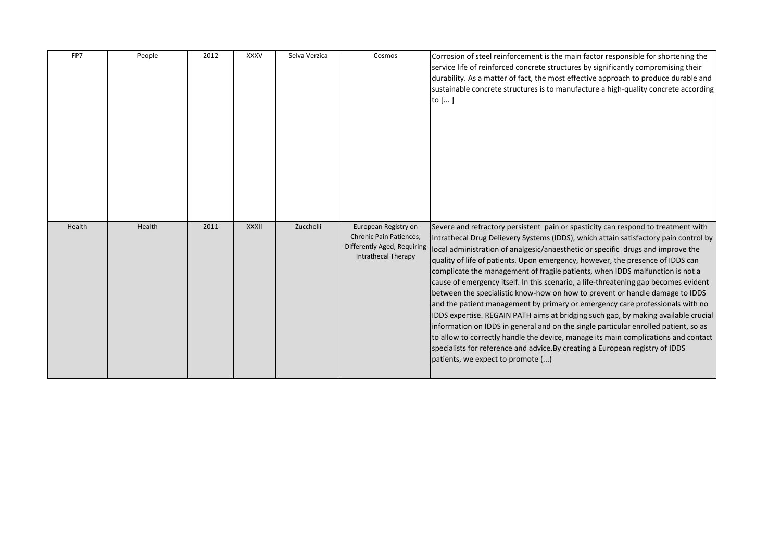| FP7    | People | 2012 | <b>XXXV</b>  | Selva Verzica | Cosmos                                                                                                | Corrosion of steel reinforcement is the main factor responsible for shortening the<br>service life of reinforced concrete structures by significantly compromising their<br>durability. As a matter of fact, the most effective approach to produce durable and<br>sustainable concrete structures is to manufacture a high-quality concrete according<br>to [ ]                                                                                                                                                                                                                                                                                                                                                                                                                                                                                                                                                                                                                                                                                                                 |
|--------|--------|------|--------------|---------------|-------------------------------------------------------------------------------------------------------|----------------------------------------------------------------------------------------------------------------------------------------------------------------------------------------------------------------------------------------------------------------------------------------------------------------------------------------------------------------------------------------------------------------------------------------------------------------------------------------------------------------------------------------------------------------------------------------------------------------------------------------------------------------------------------------------------------------------------------------------------------------------------------------------------------------------------------------------------------------------------------------------------------------------------------------------------------------------------------------------------------------------------------------------------------------------------------|
| Health | Health | 2011 | <b>XXXII</b> | Zucchelli     | European Registry on<br>Chronic Pain Patiences,<br>Differently Aged, Requiring<br>Intrathecal Therapy | Severe and refractory persistent pain or spasticity can respond to treatment with<br>Intrathecal Drug Delievery Systems (IDDS), which attain satisfactory pain control by<br>local administration of analgesic/anaesthetic or specific drugs and improve the<br>quality of life of patients. Upon emergency, however, the presence of IDDS can<br>complicate the management of fragile patients, when IDDS malfunction is not a<br>cause of emergency itself. In this scenario, a life-threatening gap becomes evident<br>between the specialistic know-how on how to prevent or handle damage to IDDS<br>and the patient management by primary or emergency care professionals with no<br>IDDS expertise. REGAIN PATH aims at bridging such gap, by making available crucial<br>information on IDDS in general and on the single particular enrolled patient, so as<br>to allow to correctly handle the device, manage its main complications and contact<br>specialists for reference and advice. By creating a European registry of IDDS<br>patients, we expect to promote () |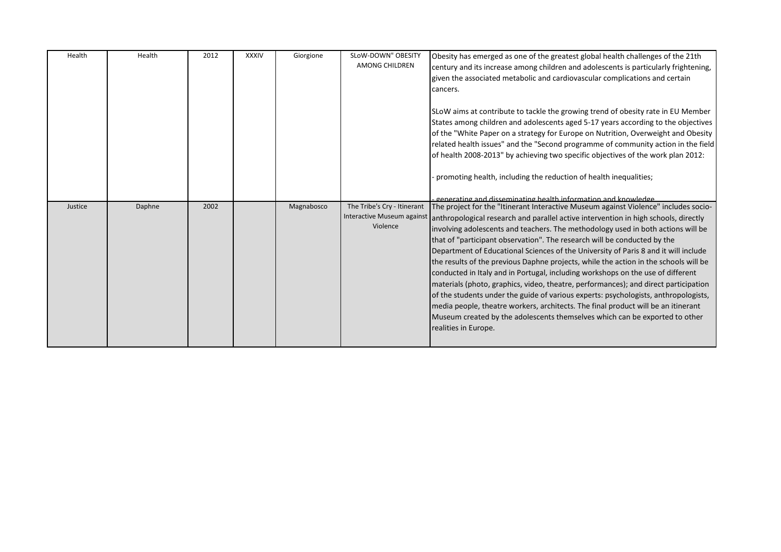| Health  | Health | 2012 | <b>XXXIV</b> | Giorgione  | SLoW-DOWN" OBESITY<br><b>AMONG CHILDREN</b>                           | Obesity has emerged as one of the greatest global health challenges of the 21th<br>century and its increase among children and adolescents is particularly frightening,<br>given the associated metabolic and cardiovascular complications and certain<br>cancers.<br>SLoW aims at contribute to tackle the growing trend of obesity rate in EU Member<br>States among children and adolescents aged 5-17 years according to the objectives<br>of the "White Paper on a strategy for Europe on Nutrition, Overweight and Obesity<br>related health issues" and the "Second programme of community action in the field<br>of health 2008-2013" by achieving two specific objectives of the work plan 2012:                                                                                                                                                                                                                                                                              |
|---------|--------|------|--------------|------------|-----------------------------------------------------------------------|----------------------------------------------------------------------------------------------------------------------------------------------------------------------------------------------------------------------------------------------------------------------------------------------------------------------------------------------------------------------------------------------------------------------------------------------------------------------------------------------------------------------------------------------------------------------------------------------------------------------------------------------------------------------------------------------------------------------------------------------------------------------------------------------------------------------------------------------------------------------------------------------------------------------------------------------------------------------------------------|
|         |        |      |              |            |                                                                       | promoting health, including the reduction of health inequalities;<br>generating and disseminating health information and knowledge                                                                                                                                                                                                                                                                                                                                                                                                                                                                                                                                                                                                                                                                                                                                                                                                                                                     |
| Justice | Daphne | 2002 |              | Magnabosco | The Tribe's Cry - Itinerant<br>Interactive Museum against<br>Violence | The project for the "Itinerant Interactive Museum against Violence" includes socio-<br>anthropological research and parallel active intervention in high schools, directly<br>involving adolescents and teachers. The methodology used in both actions will be<br>that of "participant observation". The research will be conducted by the<br>Department of Educational Sciences of the University of Paris 8 and it will include<br>the results of the previous Daphne projects, while the action in the schools will be<br>conducted in Italy and in Portugal, including workshops on the use of different<br>materials (photo, graphics, video, theatre, performances); and direct participation<br>of the students under the guide of various experts: psychologists, anthropologists,<br>media people, theatre workers, architects. The final product will be an itinerant<br>Museum created by the adolescents themselves which can be exported to other<br>realities in Europe. |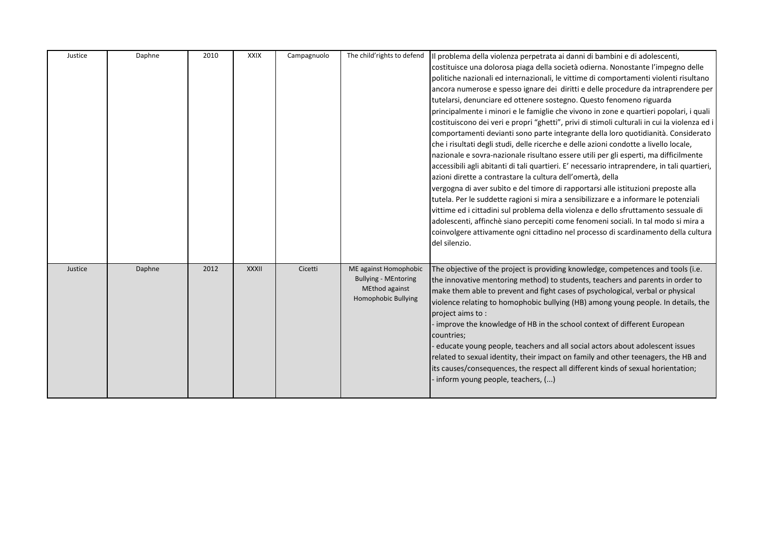| Justice | Daphne | 2010 | <b>XXIX</b>  | Campagnuolo | The child'rights to defend                                                                    | Il problema della violenza perpetrata ai danni di bambini e di adolescenti,<br>costituisce una dolorosa piaga della società odierna. Nonostante l'impegno delle<br>politiche nazionali ed internazionali, le vittime di comportamenti violenti risultano<br>ancora numerose e spesso ignare dei diritti e delle procedure da intraprendere per<br>tutelarsi, denunciare ed ottenere sostegno. Questo fenomeno riguarda<br>principalmente i minori e le famiglie che vivono in zone e quartieri popolari, i quali<br>costituiscono dei veri e propri "ghetti", privi di stimoli culturali in cui la violenza ed i<br>comportamenti devianti sono parte integrante della loro quotidianità. Considerato<br>che i risultati degli studi, delle ricerche e delle azioni condotte a livello locale,<br>nazionale e sovra-nazionale risultano essere utili per gli esperti, ma difficilmente<br>accessibili agli abitanti di tali quartieri. E' necessario intraprendere, in tali quartieri,<br>azioni dirette a contrastare la cultura dell'omertà, della<br>vergogna di aver subito e del timore di rapportarsi alle istituzioni preposte alla<br>tutela. Per le suddette ragioni si mira a sensibilizzare e a informare le potenziali<br>vittime ed i cittadini sul problema della violenza e dello sfruttamento sessuale di<br>adolescenti, affinchè siano percepiti come fenomeni sociali. In tal modo si mira a<br>coinvolgere attivamente ogni cittadino nel processo di scardinamento della cultura<br>del silenzio. |
|---------|--------|------|--------------|-------------|-----------------------------------------------------------------------------------------------|------------------------------------------------------------------------------------------------------------------------------------------------------------------------------------------------------------------------------------------------------------------------------------------------------------------------------------------------------------------------------------------------------------------------------------------------------------------------------------------------------------------------------------------------------------------------------------------------------------------------------------------------------------------------------------------------------------------------------------------------------------------------------------------------------------------------------------------------------------------------------------------------------------------------------------------------------------------------------------------------------------------------------------------------------------------------------------------------------------------------------------------------------------------------------------------------------------------------------------------------------------------------------------------------------------------------------------------------------------------------------------------------------------------------------------------------------------------------------------------------------------------------|
| Justice | Daphne | 2012 | <b>XXXII</b> | Cicetti     | ME against Homophobic<br><b>Bullying - MEntoring</b><br>MEthod against<br>Homophobic Bullying | The objective of the project is providing knowledge, competences and tools (i.e.<br>the innovative mentoring method) to students, teachers and parents in order to<br>make them able to prevent and fight cases of psychological, verbal or physical<br>violence relating to homophobic bullying (HB) among young people. In details, the<br>project aims to:<br>- improve the knowledge of HB in the school context of different European<br>countries;<br>educate young people, teachers and all social actors about adolescent issues<br>related to sexual identity, their impact on family and other teenagers, the HB and<br>its causes/consequences, the respect all different kinds of sexual horientation;<br>inform young people, teachers, ()                                                                                                                                                                                                                                                                                                                                                                                                                                                                                                                                                                                                                                                                                                                                                                |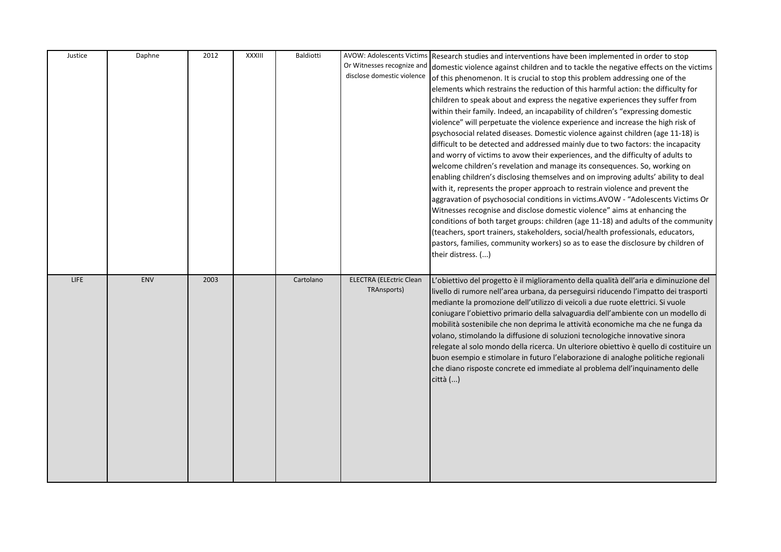| Justice     | Daphne | 2012 | XXXIII | Baldiotti | Or Witnesses recognize and<br>disclose domestic violence | AVOW: Adolescents Victims Research studies and interventions have been implemented in order to stop<br>domestic violence against children and to tackle the negative effects on the victims<br>of this phenomenon. It is crucial to stop this problem addressing one of the<br>elements which restrains the reduction of this harmful action: the difficulty for<br>children to speak about and express the negative experiences they suffer from<br>within their family. Indeed, an incapability of children's "expressing domestic<br>violence" will perpetuate the violence experience and increase the high risk of<br>psychosocial related diseases. Domestic violence against children (age 11-18) is<br>difficult to be detected and addressed mainly due to two factors: the incapacity<br>and worry of victims to avow their experiences, and the difficulty of adults to<br>welcome children's revelation and manage its consequences. So, working on<br>enabling children's disclosing themselves and on improving adults' ability to deal<br>with it, represents the proper approach to restrain violence and prevent the<br>aggravation of psychosocial conditions in victims.AVOW - "Adolescents Victims Or<br>Witnesses recognise and disclose domestic violence" aims at enhancing the |
|-------------|--------|------|--------|-----------|----------------------------------------------------------|--------------------------------------------------------------------------------------------------------------------------------------------------------------------------------------------------------------------------------------------------------------------------------------------------------------------------------------------------------------------------------------------------------------------------------------------------------------------------------------------------------------------------------------------------------------------------------------------------------------------------------------------------------------------------------------------------------------------------------------------------------------------------------------------------------------------------------------------------------------------------------------------------------------------------------------------------------------------------------------------------------------------------------------------------------------------------------------------------------------------------------------------------------------------------------------------------------------------------------------------------------------------------------------------------------|
|             |        |      |        |           |                                                          | conditions of both target groups: children (age 11-18) and adults of the community<br>(teachers, sport trainers, stakeholders, social/health professionals, educators,<br>pastors, families, community workers) so as to ease the disclosure by children of<br>their distress. ()                                                                                                                                                                                                                                                                                                                                                                                                                                                                                                                                                                                                                                                                                                                                                                                                                                                                                                                                                                                                                      |
| <b>LIFE</b> | ENV    | 2003 |        | Cartolano | <b>ELECTRA (ELEctric Clean</b><br>TRAnsports)            | L'obiettivo del progetto è il miglioramento della qualità dell'aria e diminuzione del<br>livello di rumore nell'area urbana, da perseguirsi riducendo l'impatto dei trasporti<br>mediante la promozione dell'utilizzo di veicoli a due ruote elettrici. Si vuole<br>coniugare l'obiettivo primario della salvaguardia dell'ambiente con un modello di<br>mobilità sostenibile che non deprima le attività economiche ma che ne funga da<br>volano, stimolando la diffusione di soluzioni tecnologiche innovative sinora<br>relegate al solo mondo della ricerca. Un ulteriore obiettivo è quello di costituire un<br>buon esempio e stimolare in futuro l'elaborazione di analoghe politiche regionali<br>che diano risposte concrete ed immediate al problema dell'inquinamento delle<br>città ()                                                                                                                                                                                                                                                                                                                                                                                                                                                                                                     |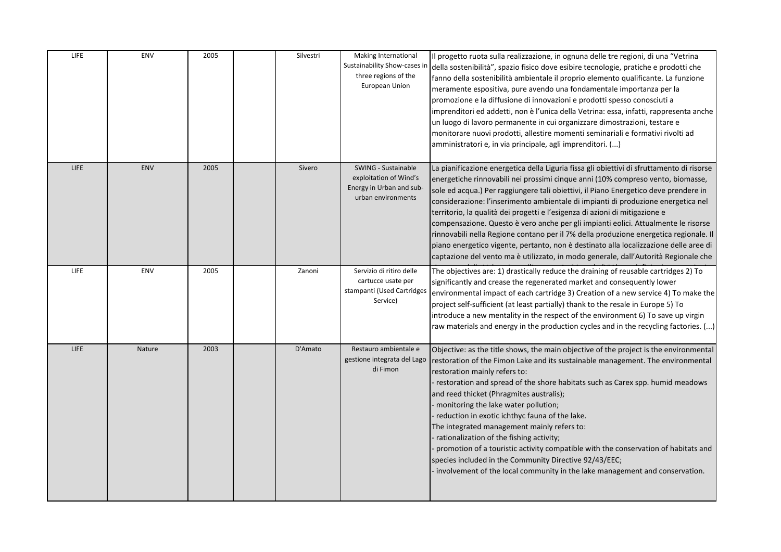| <b>LIFE</b> | ENV    | 2005 | Silvestri | Making International<br>Sustainability Show-cases in<br>three regions of the<br>European Union  | Il progetto ruota sulla realizzazione, in ognuna delle tre regioni, di una "Vetrina<br>della sostenibilità", spazio fisico dove esibire tecnologie, pratiche e prodotti che<br>fanno della sostenibilità ambientale il proprio elemento qualificante. La funzione<br>meramente espositiva, pure avendo una fondamentale importanza per la<br>promozione e la diffusione di innovazioni e prodotti spesso conosciuti a<br>imprenditori ed addetti, non è l'unica della Vetrina: essa, infatti, rappresenta anche<br>un luogo di lavoro permanente in cui organizzare dimostrazioni, testare e<br>monitorare nuovi prodotti, allestire momenti seminariali e formativi rivolti ad<br>amministratori e, in via principale, agli imprenditori. ()                                                           |
|-------------|--------|------|-----------|-------------------------------------------------------------------------------------------------|---------------------------------------------------------------------------------------------------------------------------------------------------------------------------------------------------------------------------------------------------------------------------------------------------------------------------------------------------------------------------------------------------------------------------------------------------------------------------------------------------------------------------------------------------------------------------------------------------------------------------------------------------------------------------------------------------------------------------------------------------------------------------------------------------------|
| <b>LIFE</b> | ENV    | 2005 | Sivero    | SWING - Sustainable<br>exploitation of Wind's<br>Energy in Urban and sub-<br>urban environments | La pianificazione energetica della Liguria fissa gli obiettivi di sfruttamento di risorse<br>energetiche rinnovabili nei prossimi cinque anni (10% compreso vento, biomasse,<br>sole ed acqua.) Per raggiungere tali obiettivi, il Piano Energetico deve prendere in<br>considerazione: l'inserimento ambientale di impianti di produzione energetica nel<br>territorio, la qualità dei progetti e l'esigenza di azioni di mitigazione e<br>compensazione. Questo è vero anche per gli impianti eolici. Attualmente le risorse<br>rinnovabili nella Regione contano per il 7% della produzione energetica regionale. Il<br>piano energetico vigente, pertanto, non è destinato alla localizzazione delle aree di<br>captazione del vento ma è utilizzato, in modo generale, dall'Autorità Regionale che |
| <b>LIFE</b> | ENV    | 2005 | Zanoni    | Servizio di ritiro delle<br>cartucce usate per<br>stampanti (Used Cartridges<br>Service)        | The objectives are: 1) drastically reduce the draining of reusable cartridges 2) To<br>significantly and crease the regenerated market and consequently lower<br>environmental impact of each cartridge 3) Creation of a new service 4) To make the<br>project self-sufficient (at least partially) thank to the resale in Europe 5) To<br>introduce a new mentality in the respect of the environment 6) To save up virgin<br>raw materials and energy in the production cycles and in the recycling factories. ()                                                                                                                                                                                                                                                                                     |
| <b>LIFE</b> | Nature | 2003 | D'Amato   | Restauro ambientale e<br>gestione integrata del Lago<br>di Fimon                                | Objective: as the title shows, the main objective of the project is the environmental<br>restoration of the Fimon Lake and its sustainable management. The environmental<br>restoration mainly refers to:<br>restoration and spread of the shore habitats such as Carex spp. humid meadows<br>and reed thicket (Phragmites australis);<br>monitoring the lake water pollution;<br>reduction in exotic ichthyc fauna of the lake.<br>The integrated management mainly refers to:<br>rationalization of the fishing activity;<br>promotion of a touristic activity compatible with the conservation of habitats and<br>species included in the Community Directive 92/43/EEC;<br>involvement of the local community in the lake management and conservation.                                              |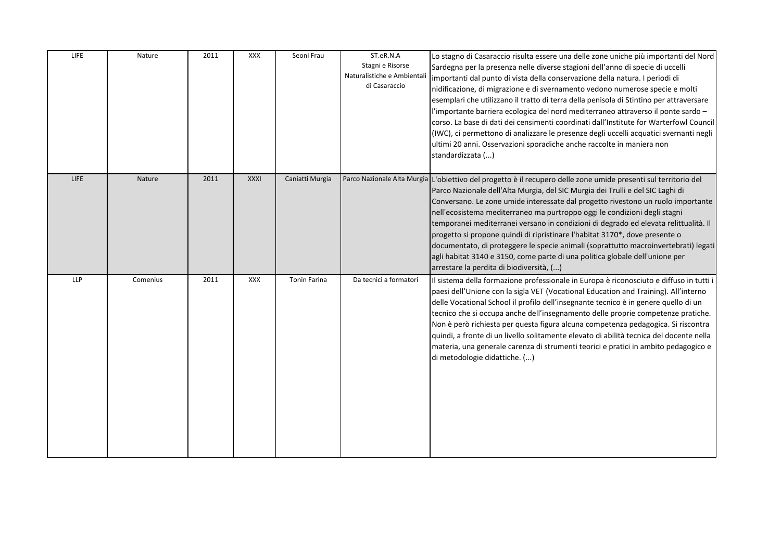| LIFE        | Nature   | 2011 | <b>XXX</b>  | Seoni Frau          | ST.eR.N.A<br>Stagni e Risorse<br>Naturalistiche e Ambiental<br>di Casaraccio | Lo stagno di Casaraccio risulta essere una delle zone uniche più importanti del Nord<br>Sardegna per la presenza nelle diverse stagioni dell'anno di specie di uccelli<br>importanti dal punto di vista della conservazione della natura. I periodi di<br>nidificazione, di migrazione e di svernamento vedono numerose specie e molti<br>esemplari che utilizzano il tratto di terra della penisola di Stintino per attraversare<br>l'importante barriera ecologica del nord mediterraneo attraverso il ponte sardo -<br>corso. La base di dati dei censimenti coordinati dall'Institute for Warterfowl Council<br>(IWC), ci permettono di analizzare le presenze degli uccelli acquatici svernanti negli<br>ultimi 20 anni. Osservazioni sporadiche anche raccolte in maniera non<br>standardizzata () |
|-------------|----------|------|-------------|---------------------|------------------------------------------------------------------------------|----------------------------------------------------------------------------------------------------------------------------------------------------------------------------------------------------------------------------------------------------------------------------------------------------------------------------------------------------------------------------------------------------------------------------------------------------------------------------------------------------------------------------------------------------------------------------------------------------------------------------------------------------------------------------------------------------------------------------------------------------------------------------------------------------------|
| <b>LIFE</b> | Nature   | 2011 | <b>XXXI</b> | Caniatti Murgia     |                                                                              | Parco Nazionale Alta Murgia L'obiettivo del progetto è il recupero delle zone umide presenti sul territorio del<br>Parco Nazionale dell'Alta Murgia, del SIC Murgia dei Trulli e del SIC Laghi di<br>Conversano. Le zone umide interessate dal progetto rivestono un ruolo importante<br>nell'ecosistema mediterraneo ma purtroppo oggi le condizioni degli stagni<br>temporanei mediterranei versano in condizioni di degrado ed elevata relittualità. Il<br>progetto si propone quindi di ripristinare l'habitat 3170*, dove presente o<br>documentato, di proteggere le specie animali (soprattutto macroinvertebrati) legati<br>agli habitat 3140 e 3150, come parte di una politica globale dell'unione per<br>arrestare la perdita di biodiversità, ()                                             |
| <b>LLP</b>  | Comenius | 2011 | <b>XXX</b>  | <b>Tonin Farina</b> | Da tecnici a formatori                                                       | Il sistema della formazione professionale in Europa è riconosciuto e diffuso in tutti i<br>paesi dell'Unione con la sigla VET (Vocational Education and Training). All'interno<br>delle Vocational School il profilo dell'insegnante tecnico è in genere quello di un<br>tecnico che si occupa anche dell'insegnamento delle proprie competenze pratiche.<br>Non è però richiesta per questa figura alcuna competenza pedagogica. Si riscontra<br>quindi, a fronte di un livello solitamente elevato di abilità tecnica del docente nella<br>materia, una generale carenza di strumenti teorici e pratici in ambito pedagogico e<br>di metodologie didattiche. ()                                                                                                                                        |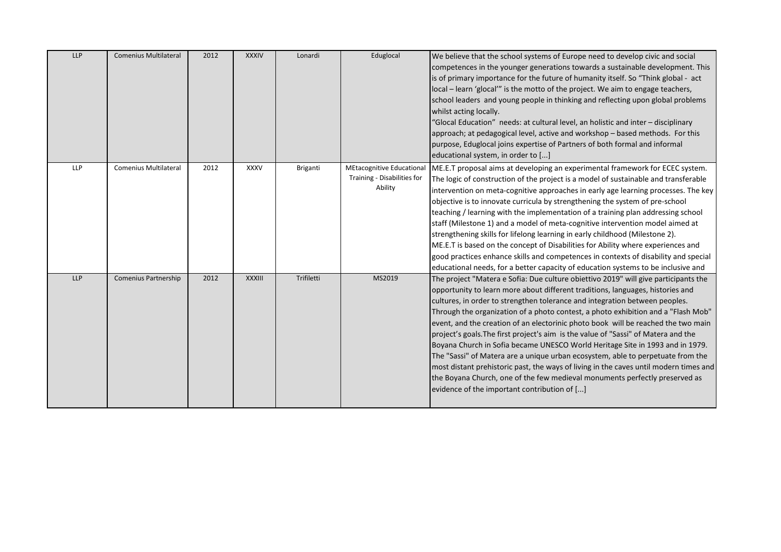| <b>LLP</b> | <b>Comenius Multilateral</b> | 2012 | <b>XXXIV</b>  | Lonardi    | Eduglocal                                                           | We believe that the school systems of Europe need to develop civic and social<br>competences in the younger generations towards a sustainable development. This<br>is of primary importance for the future of humanity itself. So "Think global - act<br>local – learn 'glocal'" is the motto of the project. We aim to engage teachers,<br>school leaders and young people in thinking and reflecting upon global problems<br>whilst acting locally.<br>"Glocal Education" needs: at cultural level, an holistic and inter - disciplinary<br>approach; at pedagogical level, active and workshop - based methods. For this<br>purpose, Eduglocal joins expertise of Partners of both formal and informal<br>educational system, in order to []                                                                                                                                                                  |
|------------|------------------------------|------|---------------|------------|---------------------------------------------------------------------|------------------------------------------------------------------------------------------------------------------------------------------------------------------------------------------------------------------------------------------------------------------------------------------------------------------------------------------------------------------------------------------------------------------------------------------------------------------------------------------------------------------------------------------------------------------------------------------------------------------------------------------------------------------------------------------------------------------------------------------------------------------------------------------------------------------------------------------------------------------------------------------------------------------|
| <b>LLP</b> | <b>Comenius Multilateral</b> | 2012 | <b>XXXV</b>   | Briganti   | MEtacognitive Educational<br>Training - Disabilities for<br>Ability | ME.E.T proposal aims at developing an experimental framework for ECEC system.<br>The logic of construction of the project is a model of sustainable and transferable<br>intervention on meta-cognitive approaches in early age learning processes. The key<br>objective is to innovate curricula by strengthening the system of pre-school<br>teaching / learning with the implementation of a training plan addressing school<br>staff (Milestone 1) and a model of meta-cognitive intervention model aimed at<br>strengthening skills for lifelong learning in early childhood (Milestone 2).<br>ME.E.T is based on the concept of Disabilities for Ability where experiences and<br>good practices enhance skills and competences in contexts of disability and special<br>educational needs, for a better capacity of education systems to be inclusive and                                                  |
| <b>LLP</b> | <b>Comenius Partnership</b>  | 2012 | <b>XXXIII</b> | Trifiletti | MS2019                                                              | The project "Matera e Sofia: Due culture obiettivo 2019" will give participants the<br>opportunity to learn more about different traditions, languages, histories and<br>cultures, in order to strengthen tolerance and integration between peoples.<br>Through the organization of a photo contest, a photo exhibition and a "Flash Mob"<br>event, and the creation of an electorinic photo book will be reached the two main<br>project's goals. The first project's aim is the value of "Sassi" of Matera and the<br>Boyana Church in Sofia became UNESCO World Heritage Site in 1993 and in 1979.<br>The "Sassi" of Matera are a unique urban ecosystem, able to perpetuate from the<br>most distant prehistoric past, the ways of living in the caves until modern times and<br>the Boyana Church, one of the few medieval monuments perfectly preserved as<br>evidence of the important contribution of [] |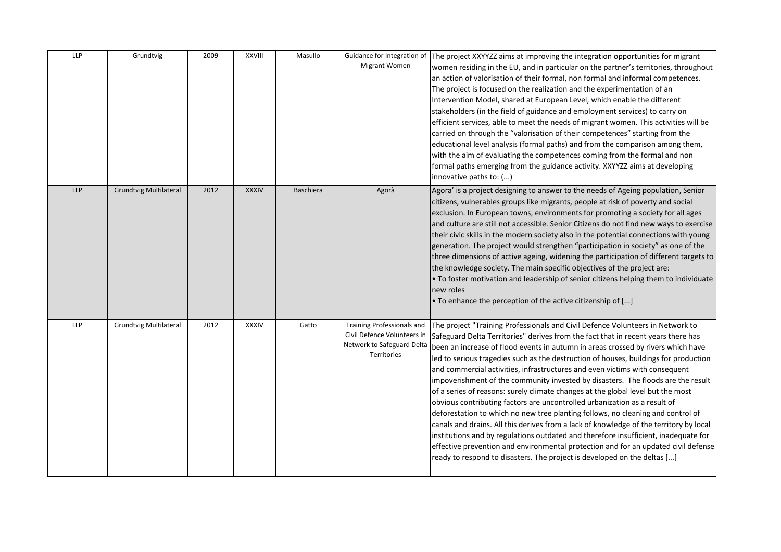| LLP        | Grundtvig                     | 2009 | <b>XXVIII</b> | Masullo          | Guidance for Integration of<br>Migrant Women                                                                  | The project XXYYZZ aims at improving the integration opportunities for migrant<br>women residing in the EU, and in particular on the partner's territories, throughout<br>an action of valorisation of their formal, non formal and informal competences.<br>The project is focused on the realization and the experimentation of an<br>Intervention Model, shared at European Level, which enable the different<br>stakeholders (in the field of guidance and employment services) to carry on<br>efficient services, able to meet the needs of migrant women. This activities will be<br>carried on through the "valorisation of their competences" starting from the<br>educational level analysis (formal paths) and from the comparison among them,<br>with the aim of evaluating the competences coming from the formal and non<br>formal paths emerging from the guidance activity. XXYYZZ aims at developing<br>innovative paths to: ()                                                                                                                                                                          |
|------------|-------------------------------|------|---------------|------------------|---------------------------------------------------------------------------------------------------------------|--------------------------------------------------------------------------------------------------------------------------------------------------------------------------------------------------------------------------------------------------------------------------------------------------------------------------------------------------------------------------------------------------------------------------------------------------------------------------------------------------------------------------------------------------------------------------------------------------------------------------------------------------------------------------------------------------------------------------------------------------------------------------------------------------------------------------------------------------------------------------------------------------------------------------------------------------------------------------------------------------------------------------------------------------------------------------------------------------------------------------|
| <b>LLP</b> | <b>Grundtvig Multilateral</b> | 2012 | <b>XXXIV</b>  | <b>Baschiera</b> | Agorà                                                                                                         | Agora' is a project designing to answer to the needs of Ageing population, Senior<br>citizens, vulnerables groups like migrants, people at risk of poverty and social<br>exclusion. In European towns, environments for promoting a society for all ages<br>and culture are still not accessible. Senior Citizens do not find new ways to exercise<br>their civic skills in the modern society also in the potential connections with young<br>generation. The project would strengthen "participation in society" as one of the<br>three dimensions of active ageing, widening the participation of different targets to<br>the knowledge society. The main specific objectives of the project are:<br>. To foster motivation and leadership of senior citizens helping them to individuate<br>new roles<br>. To enhance the perception of the active citizenship of []                                                                                                                                                                                                                                                 |
| LLP        | <b>Grundtvig Multilateral</b> | 2012 | <b>XXXIV</b>  | Gatto            | <b>Training Professionals and</b><br>Civil Defence Volunteers in<br>Network to Safeguard Delta<br>Territories | The project "Training Professionals and Civil Defence Volunteers in Network to<br>Safeguard Delta Territories" derives from the fact that in recent years there has<br>been an increase of flood events in autumn in areas crossed by rivers which have<br>led to serious tragedies such as the destruction of houses, buildings for production<br>and commercial activities, infrastructures and even victims with consequent<br>impoverishment of the community invested by disasters. The floods are the result<br>of a series of reasons: surely climate changes at the global level but the most<br>obvious contributing factors are uncontrolled urbanization as a result of<br>deforestation to which no new tree planting follows, no cleaning and control of<br>canals and drains. All this derives from a lack of knowledge of the territory by local<br>institutions and by regulations outdated and therefore insufficient, inadequate for<br>effective prevention and environmental protection and for an updated civil defense<br>ready to respond to disasters. The project is developed on the deltas [] |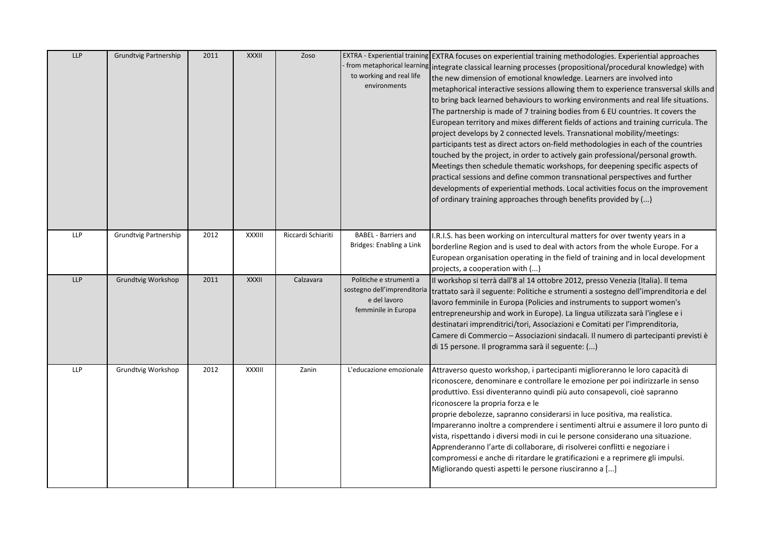| <b>LLP</b> | Grundtvig Partnership | 2011 | XXXII        | Zoso               | to working and real life<br>environments                                                      | EXTRA - Experiential training EXTRA focuses on experiential training methodologies. Experiential approaches<br>from metaphorical learning integrate classical learning processes (propositional/procedural knowledge) with<br>the new dimension of emotional knowledge. Learners are involved into<br>metaphorical interactive sessions allowing them to experience transversal skills and<br>to bring back learned behaviours to working environments and real life situations.<br>The partnership is made of 7 training bodies from 6 EU countries. It covers the<br>European territory and mixes different fields of actions and training curricula. The<br>project develops by 2 connected levels. Transnational mobility/meetings:<br>participants test as direct actors on-field methodologies in each of the countries<br>touched by the project, in order to actively gain professional/personal growth.<br>Meetings then schedule thematic workshops, for deepening specific aspects of<br>practical sessions and define common transnational perspectives and further<br>developments of experiential methods. Local activities focus on the improvement<br>of ordinary training approaches through benefits provided by () |
|------------|-----------------------|------|--------------|--------------------|-----------------------------------------------------------------------------------------------|---------------------------------------------------------------------------------------------------------------------------------------------------------------------------------------------------------------------------------------------------------------------------------------------------------------------------------------------------------------------------------------------------------------------------------------------------------------------------------------------------------------------------------------------------------------------------------------------------------------------------------------------------------------------------------------------------------------------------------------------------------------------------------------------------------------------------------------------------------------------------------------------------------------------------------------------------------------------------------------------------------------------------------------------------------------------------------------------------------------------------------------------------------------------------------------------------------------------------------------|
| <b>LLP</b> | Grundtvig Partnership | 2012 | XXXIII       | Riccardi Schiariti | <b>BABEL</b> - Barriers and<br>Bridges: Enabling a Link                                       | I.R.I.S. has been working on intercultural matters for over twenty years in a<br>borderline Region and is used to deal with actors from the whole Europe. For a<br>European organisation operating in the field of training and in local development<br>projects, a cooperation with ()                                                                                                                                                                                                                                                                                                                                                                                                                                                                                                                                                                                                                                                                                                                                                                                                                                                                                                                                               |
| LLP        | Grundtvig Workshop    | 2011 | <b>XXXII</b> | Calzavara          | Politiche e strumenti a<br>sostegno dell'imprenditoria<br>e del lavoro<br>femminile in Europa | Il workshop si terrà dall'8 al 14 ottobre 2012, presso Venezia (Italia). Il tema<br>trattato sarà il seguente: Politiche e strumenti a sostegno dell'imprenditoria e del<br>lavoro femminile in Europa (Policies and instruments to support women's<br>entrepreneurship and work in Europe). La lingua utilizzata sarà l'inglese e i<br>destinatari imprenditrici/tori, Associazioni e Comitati per l'imprenditoria,<br>Camere di Commercio - Associazioni sindacali. Il numero di partecipanti previsti è<br>di 15 persone. Il programma sarà il seguente: ()                                                                                                                                                                                                                                                                                                                                                                                                                                                                                                                                                                                                                                                                        |
| <b>LLP</b> | Grundtvig Workshop    | 2012 | XXXIII       | Zanin              | L'educazione emozionale                                                                       | Attraverso questo workshop, i partecipanti miglioreranno le loro capacità di<br>riconoscere, denominare e controllare le emozione per poi indirizzarle in senso<br>produttivo. Essi diventeranno quindi più auto consapevoli, cioè sapranno<br>riconoscere la propria forza e le<br>proprie debolezze, sapranno considerarsi in luce positiva, ma realistica.<br>Impareranno inoltre a comprendere i sentimenti altrui e assumere il loro punto di<br>vista, rispettando i diversi modi in cui le persone considerano una situazione.<br>Apprenderanno l'arte di collaborare, di risolverei conflitti e negoziare i<br>compromessi e anche di ritardare le gratificazioni e a reprimere gli impulsi.<br>Migliorando questi aspetti le persone riusciranno a []                                                                                                                                                                                                                                                                                                                                                                                                                                                                        |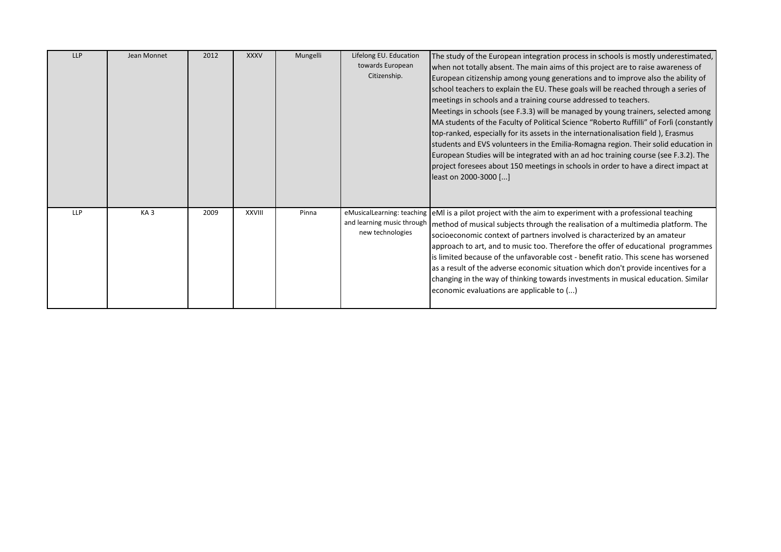| <b>LLP</b> | Jean Monnet     | 2012 | <b>XXXV</b>   | Mungelli | Lifelong EU. Education<br>towards European<br>Citizenship.                   | The study of the European integration process in schools is mostly underestimated,<br>when not totally absent. The main aims of this project are to raise awareness of<br>European citizenship among young generations and to improve also the ability of<br>school teachers to explain the EU. These goals will be reached through a series of<br>meetings in schools and a training course addressed to teachers.<br>Meetings in schools (see F.3.3) will be managed by young trainers, selected among<br>MA students of the Faculty of Political Science "Roberto Ruffilli" of Forlì (constantly<br>top-ranked, especially for its assets in the internationalisation field), Erasmus<br>students and EVS volunteers in the Emilia-Romagna region. Their solid education in<br>European Studies will be integrated with an ad hoc training course (see F.3.2). The<br>project foresees about 150 meetings in schools in order to have a direct impact at<br>least on 2000-3000 [] |
|------------|-----------------|------|---------------|----------|------------------------------------------------------------------------------|--------------------------------------------------------------------------------------------------------------------------------------------------------------------------------------------------------------------------------------------------------------------------------------------------------------------------------------------------------------------------------------------------------------------------------------------------------------------------------------------------------------------------------------------------------------------------------------------------------------------------------------------------------------------------------------------------------------------------------------------------------------------------------------------------------------------------------------------------------------------------------------------------------------------------------------------------------------------------------------|
| <b>LLP</b> | KA <sub>3</sub> | 2009 | <b>XXVIII</b> | Pinna    | eMusicalLearning: teaching<br>and learning music through<br>new technologies | eMI is a pilot project with the aim to experiment with a professional teaching<br>method of musical subjects through the realisation of a multimedia platform. The<br>socioeconomic context of partners involved is characterized by an amateur<br>approach to art, and to music too. Therefore the offer of educational programmes<br>is limited because of the unfavorable cost - benefit ratio. This scene has worsened<br>as a result of the adverse economic situation which don't provide incentives for a<br>changing in the way of thinking towards investments in musical education. Similar<br>economic evaluations are applicable to ()                                                                                                                                                                                                                                                                                                                                   |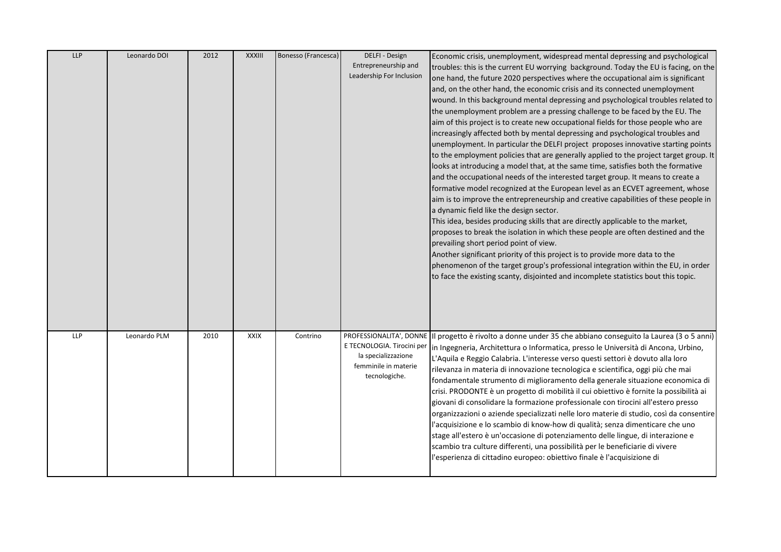| <b>LLP</b> | Leonardo DOI | 2012 | <b>XXXIII</b> | Bonesso (Francesca) | DELFI - Design<br>Entrepreneurship and<br>Leadership For Inclusion                                                    | Economic crisis, unemployment, widespread mental depressing and psychological<br>troubles: this is the current EU worrying background. Today the EU is facing, on the<br>one hand, the future 2020 perspectives where the occupational aim is significant<br>and, on the other hand, the economic crisis and its connected unemployment<br>wound. In this background mental depressing and psychological troubles related to<br>the unemployment problem are a pressing challenge to be faced by the EU. The<br>aim of this project is to create new occupational fields for those people who are<br>increasingly affected both by mental depressing and psychological troubles and<br>unemployment. In particular the DELFI project proposes innovative starting points<br>to the employment policies that are generally applied to the project target group. It<br>looks at introducing a model that, at the same time, satisfies both the formative<br>and the occupational needs of the interested target group. It means to create a<br>formative model recognized at the European level as an ECVET agreement, whose<br>aim is to improve the entrepreneurship and creative capabilities of these people in<br>a dynamic field like the design sector.<br>This idea, besides producing skills that are directly applicable to the market,<br>proposes to break the isolation in which these people are often destined and the<br>prevailing short period point of view.<br>Another significant priority of this project is to provide more data to the<br>phenomenon of the target group's professional integration within the EU, in order<br>to face the existing scanty, disjointed and incomplete statistics bout this topic. |
|------------|--------------|------|---------------|---------------------|-----------------------------------------------------------------------------------------------------------------------|-----------------------------------------------------------------------------------------------------------------------------------------------------------------------------------------------------------------------------------------------------------------------------------------------------------------------------------------------------------------------------------------------------------------------------------------------------------------------------------------------------------------------------------------------------------------------------------------------------------------------------------------------------------------------------------------------------------------------------------------------------------------------------------------------------------------------------------------------------------------------------------------------------------------------------------------------------------------------------------------------------------------------------------------------------------------------------------------------------------------------------------------------------------------------------------------------------------------------------------------------------------------------------------------------------------------------------------------------------------------------------------------------------------------------------------------------------------------------------------------------------------------------------------------------------------------------------------------------------------------------------------------------------------------------------------------------------------------------------------------|
| <b>LLP</b> | Leonardo PLM | 2010 | <b>XXIX</b>   | Contrino            | PROFESSIONALITA', DONNE<br>E TECNOLOGIA. Tirocini per<br>la specializzazione<br>femminile in materie<br>tecnologiche. | Il progetto è rivolto a donne under 35 che abbiano conseguito la Laurea (3 o 5 anni)<br>in Ingegneria, Architettura o Informatica, presso le Università di Ancona, Urbino,<br>L'Aquila e Reggio Calabria. L'interesse verso questi settori è dovuto alla loro<br>rilevanza in materia di innovazione tecnologica e scientifica, oggi più che mai<br>fondamentale strumento di miglioramento della generale situazione economica di<br>crisi. PRODONTE è un progetto di mobilità il cui obiettivo è fornite la possibilità ai<br>giovani di consolidare la formazione professionale con tirocini all'estero presso<br>organizzazioni o aziende specializzati nelle loro materie di studio, così da consentire<br>l'acquisizione e lo scambio di know-how di qualità; senza dimenticare che uno<br>stage all'estero è un'occasione di potenziamento delle lingue, di interazione e<br>scambio tra culture differenti, una possibilità per le beneficiarie di vivere<br>'esperienza di cittadino europeo: obiettivo finale è l'acquisizione di                                                                                                                                                                                                                                                                                                                                                                                                                                                                                                                                                                                                                                                                                             |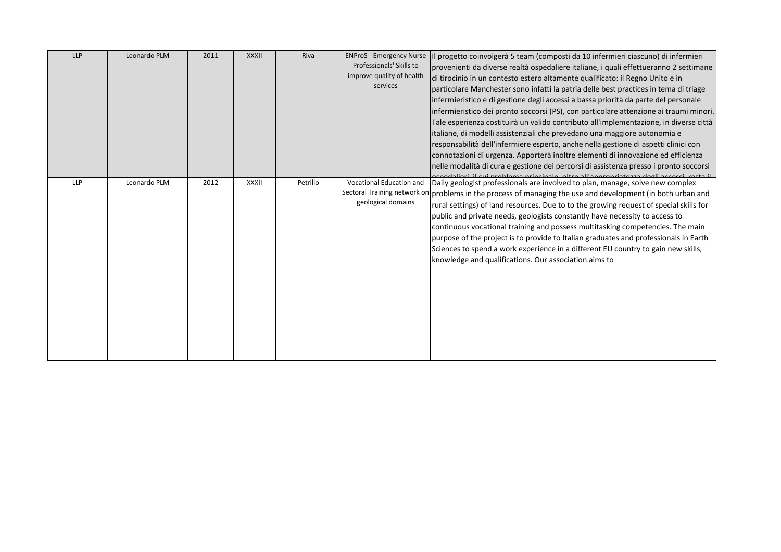| <b>LLP</b> | Leonardo PLM | 2011 | <b>XXXII</b> | Riva     | <b>ENProS - Emergency Nurse</b><br>Professionals' Skills to<br>improve quality of health<br>services | Il progetto coinvolgerà 5 team (composti da 10 infermieri ciascuno) di infermieri<br>provenienti da diverse realtà ospedaliere italiane, i quali effettueranno 2 settimane<br>di tirocinio in un contesto estero altamente qualificato: il Regno Unito e in<br>particolare Manchester sono infatti la patria delle best practices in tema di triage<br>infermieristico e di gestione degli accessi a bassa priorità da parte del personale<br>infermieristico dei pronto soccorsi (PS), con particolare attenzione ai traumi minori.<br>Tale esperienza costituirà un valido contributo all'implementazione, in diverse città<br>italiane, di modelli assistenziali che prevedano una maggiore autonomia e<br>responsabilità dell'infermiere esperto, anche nella gestione di aspetti clinici con<br>connotazioni di urgenza. Apporterà inoltre elementi di innovazione ed efficienza<br>nelle modalità di cura e gestione dei percorsi di assistenza presso i pronto soccorsi |
|------------|--------------|------|--------------|----------|------------------------------------------------------------------------------------------------------|--------------------------------------------------------------------------------------------------------------------------------------------------------------------------------------------------------------------------------------------------------------------------------------------------------------------------------------------------------------------------------------------------------------------------------------------------------------------------------------------------------------------------------------------------------------------------------------------------------------------------------------------------------------------------------------------------------------------------------------------------------------------------------------------------------------------------------------------------------------------------------------------------------------------------------------------------------------------------------|
| <b>LLP</b> | Leonardo PLM | 2012 | XXXII        | Petrillo | Vocational Education and<br>Sectoral Training network or<br>geological domains                       | Daily geologist professionals are involved to plan, manage, solve new complex<br>problems in the process of managing the use and development (in both urban and<br>rural settings) of land resources. Due to to the growing request of special skills for<br>public and private needs, geologists constantly have necessity to access to<br>continuous vocational training and possess multitasking competencies. The main<br>purpose of the project is to provide to Italian graduates and professionals in Earth<br>Sciences to spend a work experience in a different EU country to gain new skills,<br>knowledge and qualifications. Our association aims to                                                                                                                                                                                                                                                                                                               |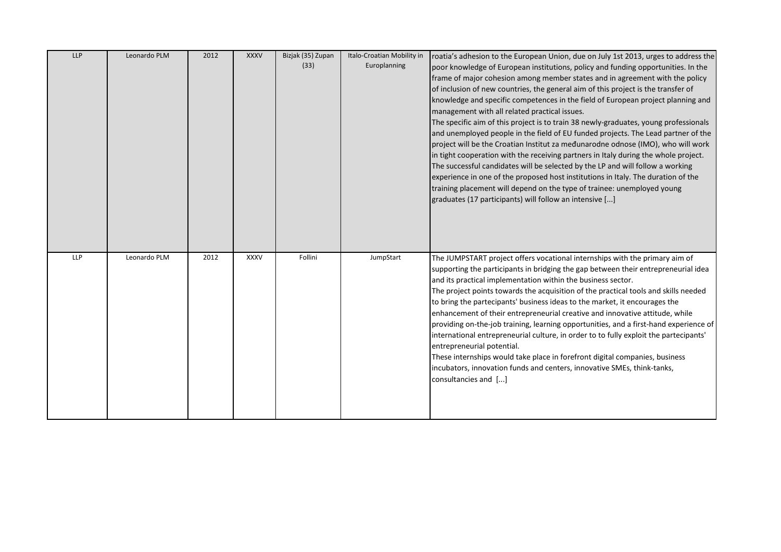| <b>LLP</b> | Leonardo PLM | 2012 | <b>XXXV</b> | Bizjak (35) Zupan | Italo-Croatian Mobility in | roatia's adhesion to the European Union, due on July 1st 2013, urges to address the                                                                                            |
|------------|--------------|------|-------------|-------------------|----------------------------|--------------------------------------------------------------------------------------------------------------------------------------------------------------------------------|
|            |              |      |             | (33)              | Europlanning               | poor knowledge of European institutions, policy and funding opportunities. In the                                                                                              |
|            |              |      |             |                   |                            | frame of major cohesion among member states and in agreement with the policy                                                                                                   |
|            |              |      |             |                   |                            | of inclusion of new countries, the general aim of this project is the transfer of                                                                                              |
|            |              |      |             |                   |                            | knowledge and specific competences in the field of European project planning and                                                                                               |
|            |              |      |             |                   |                            | management with all related practical issues.                                                                                                                                  |
|            |              |      |             |                   |                            | The specific aim of this project is to train 38 newly-graduates, young professionals                                                                                           |
|            |              |      |             |                   |                            | and unemployed people in the field of EU funded projects. The Lead partner of the                                                                                              |
|            |              |      |             |                   |                            | project will be the Croatian Institut za međunarodne odnose (IMO), who will work                                                                                               |
|            |              |      |             |                   |                            | in tight cooperation with the receiving partners in Italy during the whole project.                                                                                            |
|            |              |      |             |                   |                            | The successful candidates will be selected by the LP and will follow a working                                                                                                 |
|            |              |      |             |                   |                            | experience in one of the proposed host institutions in Italy. The duration of the                                                                                              |
|            |              |      |             |                   |                            | training placement will depend on the type of trainee: unemployed young                                                                                                        |
|            |              |      |             |                   |                            | graduates (17 participants) will follow an intensive []                                                                                                                        |
|            |              |      |             |                   |                            |                                                                                                                                                                                |
|            |              |      |             |                   |                            |                                                                                                                                                                                |
|            |              |      |             |                   |                            |                                                                                                                                                                                |
|            |              |      |             |                   |                            |                                                                                                                                                                                |
|            |              |      |             |                   |                            |                                                                                                                                                                                |
| <b>LLP</b> | Leonardo PLM | 2012 | <b>XXXV</b> | Follini           | JumpStart                  | The JUMPSTART project offers vocational internships with the primary aim of                                                                                                    |
|            |              |      |             |                   |                            | supporting the participants in bridging the gap between their entrepreneurial idea                                                                                             |
|            |              |      |             |                   |                            | and its practical implementation within the business sector.                                                                                                                   |
|            |              |      |             |                   |                            | The project points towards the acquisition of the practical tools and skills needed                                                                                            |
|            |              |      |             |                   |                            | to bring the partecipants' business ideas to the market, it encourages the                                                                                                     |
|            |              |      |             |                   |                            | enhancement of their entrepreneurial creative and innovative attitude, while                                                                                                   |
|            |              |      |             |                   |                            |                                                                                                                                                                                |
|            |              |      |             |                   |                            | providing on-the-job training, learning opportunities, and a first-hand experience of<br>international entrepreneurial culture, in order to to fully exploit the partecipants' |
|            |              |      |             |                   |                            | entrepreneurial potential.                                                                                                                                                     |
|            |              |      |             |                   |                            | These internships would take place in forefront digital companies, business                                                                                                    |
|            |              |      |             |                   |                            | incubators, innovation funds and centers, innovative SMEs, think-tanks,                                                                                                        |
|            |              |      |             |                   |                            | consultancies and []                                                                                                                                                           |
|            |              |      |             |                   |                            |                                                                                                                                                                                |
|            |              |      |             |                   |                            |                                                                                                                                                                                |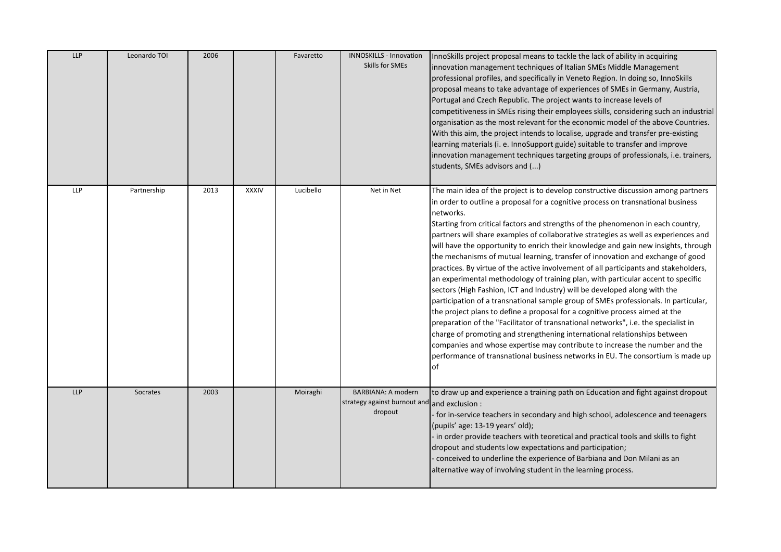| LLP        | Leonardo TOI | 2006 |              | Favaretto | INNOSKILLS - Innovation<br>Skills for SMEs                    | InnoSkills project proposal means to tackle the lack of ability in acquiring<br>innovation management techniques of Italian SMEs Middle Management<br>professional profiles, and specifically in Veneto Region. In doing so, InnoSkills<br>proposal means to take advantage of experiences of SMEs in Germany, Austria,<br>Portugal and Czech Republic. The project wants to increase levels of<br>competitiveness in SMEs rising their employees skills, considering such an industrial<br>organisation as the most relevant for the economic model of the above Countries.<br>With this aim, the project intends to localise, upgrade and transfer pre-existing<br>learning materials (i. e. InnoSupport guide) suitable to transfer and improve<br>innovation management techniques targeting groups of professionals, i.e. trainers,<br>students, SMEs advisors and ()                                                                                                                                                                                                                                                                                                                                                                                                                                     |
|------------|--------------|------|--------------|-----------|---------------------------------------------------------------|----------------------------------------------------------------------------------------------------------------------------------------------------------------------------------------------------------------------------------------------------------------------------------------------------------------------------------------------------------------------------------------------------------------------------------------------------------------------------------------------------------------------------------------------------------------------------------------------------------------------------------------------------------------------------------------------------------------------------------------------------------------------------------------------------------------------------------------------------------------------------------------------------------------------------------------------------------------------------------------------------------------------------------------------------------------------------------------------------------------------------------------------------------------------------------------------------------------------------------------------------------------------------------------------------------------|
| <b>LLP</b> | Partnership  | 2013 | <b>XXXIV</b> | Lucibello | Net in Net                                                    | The main idea of the project is to develop constructive discussion among partners<br>in order to outline a proposal for a cognitive process on transnational business<br>networks.<br>Starting from critical factors and strengths of the phenomenon in each country,<br>partners will share examples of collaborative strategies as well as experiences and<br>will have the opportunity to enrich their knowledge and gain new insights, through<br>the mechanisms of mutual learning, transfer of innovation and exchange of good<br>practices. By virtue of the active involvement of all participants and stakeholders,<br>an experimental methodology of training plan, with particular accent to specific<br>sectors (High Fashion, ICT and Industry) will be developed along with the<br>participation of a transnational sample group of SMEs professionals. In particular,<br>the project plans to define a proposal for a cognitive process aimed at the<br>preparation of the "Facilitator of transnational networks", i.e. the specialist in<br>charge of promoting and strengthening international relationships between<br>companies and whose expertise may contribute to increase the number and the<br>performance of transnational business networks in EU. The consortium is made up<br>of |
| <b>LLP</b> | Socrates     | 2003 |              | Moiraghi  | BARBIANA: A modern<br>strategy against burnout and<br>dropout | to draw up and experience a training path on Education and fight against dropout<br>and exclusion :<br>- for in-service teachers in secondary and high school, adolescence and teenagers<br>(pupils' age: 13-19 years' old);<br>- in order provide teachers with teoretical and practical tools and skills to fight<br>dropout and students low expectations and participation;<br>- conceived to underline the experience of Barbiana and Don Milani as an<br>alternative way of involving student in the learning process.                                                                                                                                                                                                                                                                                                                                                                                                                                                                                                                                                                                                                                                                                                                                                                                   |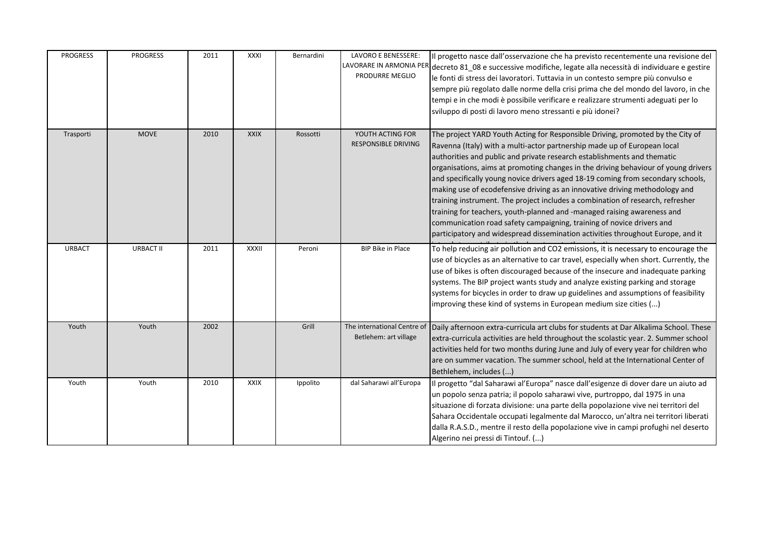| <b>PROGRESS</b> | <b>PROGRESS</b>  | 2011 | XXXI         | Bernardini | LAVORO E BENESSERE:<br>PRODURRE MEGLIO               | Il progetto nasce dall'osservazione che ha previsto recentemente una revisione del<br>LAVORARE IN ARMONIA PER decreto 81_08 e successive modifiche, legate alla necessità di individuare e gestire<br>le fonti di stress dei lavoratori. Tuttavia in un contesto sempre più convulso e<br>sempre più regolato dalle norme della crisi prima che del mondo del lavoro, in che<br>tempi e in che modi è possibile verificare e realizzare strumenti adeguati per lo<br>sviluppo di posti di lavoro meno stressanti e più idonei?                                                                                                                                                                                                                                                                                         |
|-----------------|------------------|------|--------------|------------|------------------------------------------------------|------------------------------------------------------------------------------------------------------------------------------------------------------------------------------------------------------------------------------------------------------------------------------------------------------------------------------------------------------------------------------------------------------------------------------------------------------------------------------------------------------------------------------------------------------------------------------------------------------------------------------------------------------------------------------------------------------------------------------------------------------------------------------------------------------------------------|
| Trasporti       | <b>MOVE</b>      | 2010 | <b>XXIX</b>  | Rossotti   | YOUTH ACTING FOR<br><b>RESPONSIBLE DRIVING</b>       | The project YARD Youth Acting for Responsible Driving, promoted by the City of<br>Ravenna (Italy) with a multi-actor partnership made up of European local<br>authorities and public and private research establishments and thematic<br>organisations, aims at promoting changes in the driving behaviour of young drivers<br>and specifically young novice drivers aged 18-19 coming from secondary schools,<br>making use of ecodefensive driving as an innovative driving methodology and<br>training instrument. The project includes a combination of research, refresher<br>training for teachers, youth-planned and -managed raising awareness and<br>communication road safety campaigning, training of novice drivers and<br>participatory and widespread dissemination activities throughout Europe, and it |
| <b>URBACT</b>   | <b>URBACT II</b> | 2011 | <b>XXXII</b> | Peroni     | <b>BIP Bike in Place</b>                             | To help reducing air pollution and CO2 emissions, it is necessary to encourage the<br>use of bicycles as an alternative to car travel, especially when short. Currently, the<br>use of bikes is often discouraged because of the insecure and inadequate parking<br>systems. The BIP project wants study and analyze existing parking and storage<br>systems for bicycles in order to draw up guidelines and assumptions of feasibility<br>improving these kind of systems in European medium size cities ()                                                                                                                                                                                                                                                                                                           |
| Youth           | Youth            | 2002 |              | Grill      | The international Centre of<br>Betlehem: art village | Daily afternoon extra-curricula art clubs for students at Dar Alkalima School. These<br>extra-curricula activities are held throughout the scolastic year. 2. Summer school<br>activities held for two months during June and July of every year for children who<br>are on summer vacation. The summer school, held at the International Center of<br>Bethlehem, includes ()                                                                                                                                                                                                                                                                                                                                                                                                                                          |
| Youth           | Youth            | 2010 | <b>XXIX</b>  | Ippolito   | dal Saharawi all'Europa                              | Il progetto "dal Saharawi al'Europa" nasce dall'esigenze di dover dare un aiuto ad<br>un popolo senza patria; il popolo saharawi vive, purtroppo, dal 1975 in una<br>situazione di forzata divisione: una parte della popolazione vive nei territori del<br>Sahara Occidentale occupati legalmente dal Marocco, un'altra nei territori liberati<br>dalla R.A.S.D., mentre il resto della popolazione vive in campi profughi nel deserto<br>Algerino nei pressi di Tintouf. ()                                                                                                                                                                                                                                                                                                                                          |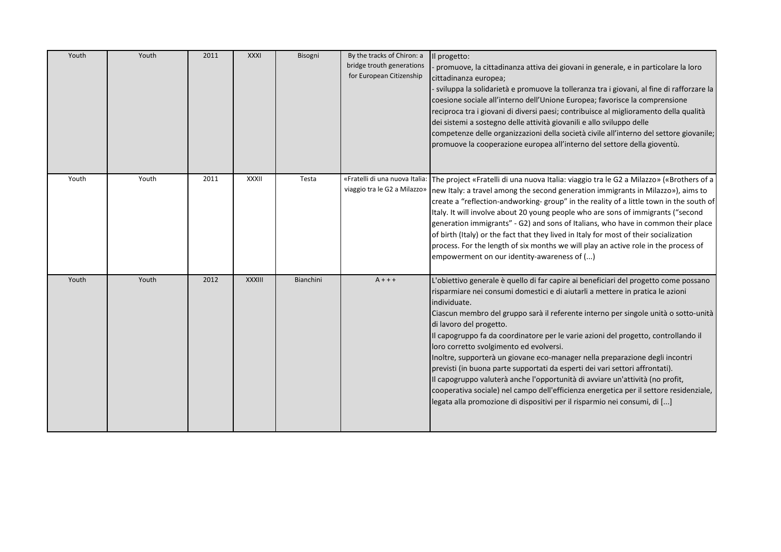| Youth | Youth | 2011 | <b>XXXI</b>   | Bisogni          | By the tracks of Chiron: a<br>bridge trouth generations<br>for European Citizenship | Il progetto:<br>promuove, la cittadinanza attiva dei giovani in generale, e in particolare la loro<br>cittadinanza europea;<br>- sviluppa la solidarietà e promuove la tolleranza tra i giovani, al fine di rafforzare la<br>coesione sociale all'interno dell'Unione Europea; favorisce la comprensione<br>reciproca tra i giovani di diversi paesi; contribuisce al miglioramento della qualità<br>dei sistemi a sostegno delle attività giovanili e allo sviluppo delle<br>competenze delle organizzazioni della società civile all'interno del settore giovanile;<br>promuove la cooperazione europea all'interno del settore della gioventù.                                                                                                                                                                                                                 |
|-------|-------|------|---------------|------------------|-------------------------------------------------------------------------------------|-------------------------------------------------------------------------------------------------------------------------------------------------------------------------------------------------------------------------------------------------------------------------------------------------------------------------------------------------------------------------------------------------------------------------------------------------------------------------------------------------------------------------------------------------------------------------------------------------------------------------------------------------------------------------------------------------------------------------------------------------------------------------------------------------------------------------------------------------------------------|
| Youth | Youth | 2011 | <b>XXXII</b>  | Testa            | «Fratelli di una nuova Italia:<br>viaggio tra le G2 a Milazzo»                      | The project «Fratelli di una nuova Italia: viaggio tra le G2 a Milazzo» («Brothers of a<br>new Italy: a travel among the second generation immigrants in Milazzo»), aims to<br>create a "reflection-andworking-group" in the reality of a little town in the south of<br>Italy. It will involve about 20 young people who are sons of immigrants ("second<br>generation immigrants" - G2) and sons of Italians, who have in common their place<br>of birth (Italy) or the fact that they lived in Italy for most of their socialization<br>process. For the length of six months we will play an active role in the process of<br>empowerment on our identity-awareness of ()                                                                                                                                                                                     |
| Youth | Youth | 2012 | <b>XXXIII</b> | <b>Bianchini</b> | $A + + +$                                                                           | L'obiettivo generale è quello di far capire ai beneficiari del progetto come possano<br>risparmiare nei consumi domestici e di aiutarli a mettere in pratica le azioni<br>individuate.<br>Ciascun membro del gruppo sarà il referente interno per singole unità o sotto-unità<br>di lavoro del progetto.<br>Il capogruppo fa da coordinatore per le varie azioni del progetto, controllando il<br>loro corretto svolgimento ed evolversi.<br>Inoltre, supporterà un giovane eco-manager nella preparazione degli incontri<br>previsti (in buona parte supportati da esperti dei vari settori affrontati).<br>Il capogruppo valuterà anche l'opportunità di avviare un'attività (no profit,<br>cooperativa sociale) nel campo dell'efficienza energetica per il settore residenziale,<br>legata alla promozione di dispositivi per il risparmio nei consumi, di [] |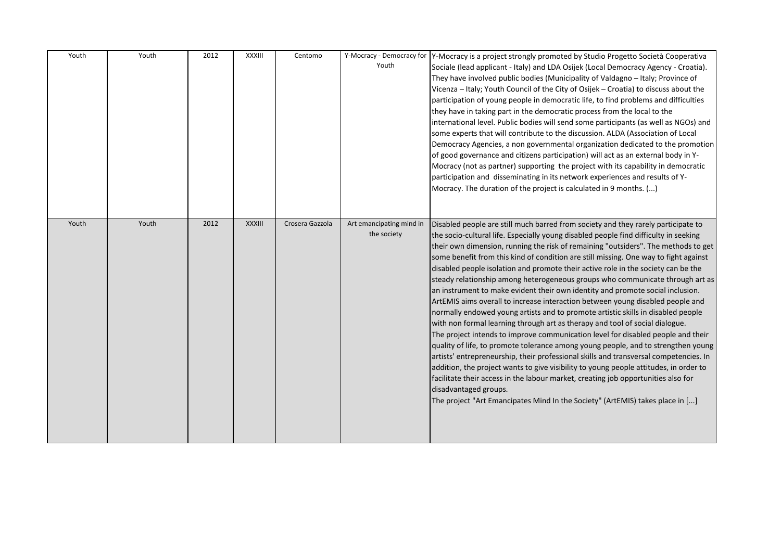| Youth | Youth | 2012 | XXXIII | Centomo         | Youth                                   | Y-Mocracy - Democracy for Y-Mocracy is a project strongly promoted by Studio Progetto Società Cooperativa<br>Sociale (lead applicant - Italy) and LDA Osijek (Local Democracy Agency - Croatia).<br>They have involved public bodies (Municipality of Valdagno - Italy; Province of<br>Vicenza - Italy; Youth Council of the City of Osijek - Croatia) to discuss about the<br>participation of young people in democratic life, to find problems and difficulties<br>they have in taking part in the democratic process from the local to the<br>international level. Public bodies will send some participants (as well as NGOs) and<br>some experts that will contribute to the discussion. ALDA (Association of Local<br>Democracy Agencies, a non governmental organization dedicated to the promotion<br>of good governance and citizens participation) will act as an external body in Y-<br>Mocracy (not as partner) supporting the project with its capability in democratic<br>participation and disseminating in its network experiences and results of Y-<br>Mocracy. The duration of the project is calculated in 9 months. ()                                                                                                                                                                                                                                                                                     |
|-------|-------|------|--------|-----------------|-----------------------------------------|---------------------------------------------------------------------------------------------------------------------------------------------------------------------------------------------------------------------------------------------------------------------------------------------------------------------------------------------------------------------------------------------------------------------------------------------------------------------------------------------------------------------------------------------------------------------------------------------------------------------------------------------------------------------------------------------------------------------------------------------------------------------------------------------------------------------------------------------------------------------------------------------------------------------------------------------------------------------------------------------------------------------------------------------------------------------------------------------------------------------------------------------------------------------------------------------------------------------------------------------------------------------------------------------------------------------------------------------------------------------------------------------------------------------------------|
| Youth | Youth | 2012 | XXXIII | Crosera Gazzola | Art emancipating mind in<br>the society | Disabled people are still much barred from society and they rarely participate to<br>the socio-cultural life. Especially young disabled people find difficulty in seeking<br>their own dimension, running the risk of remaining "outsiders". The methods to get<br>some benefit from this kind of condition are still missing. One way to fight against<br>disabled people isolation and promote their active role in the society can be the<br>steady relationship among heterogeneous groups who communicate through art as<br>an instrument to make evident their own identity and promote social inclusion.<br>ArtEMIS aims overall to increase interaction between young disabled people and<br>normally endowed young artists and to promote artistic skills in disabled people<br>with non formal learning through art as therapy and tool of social dialogue.<br>The project intends to improve communication level for disabled people and their<br>quality of life, to promote tolerance among young people, and to strengthen young<br>artists' entrepreneurship, their professional skills and transversal competencies. In<br>addition, the project wants to give visibility to young people attitudes, in order to<br>facilitate their access in the labour market, creating job opportunities also for<br>disadvantaged groups.<br>The project "Art Emancipates Mind In the Society" (ArtEMIS) takes place in [] |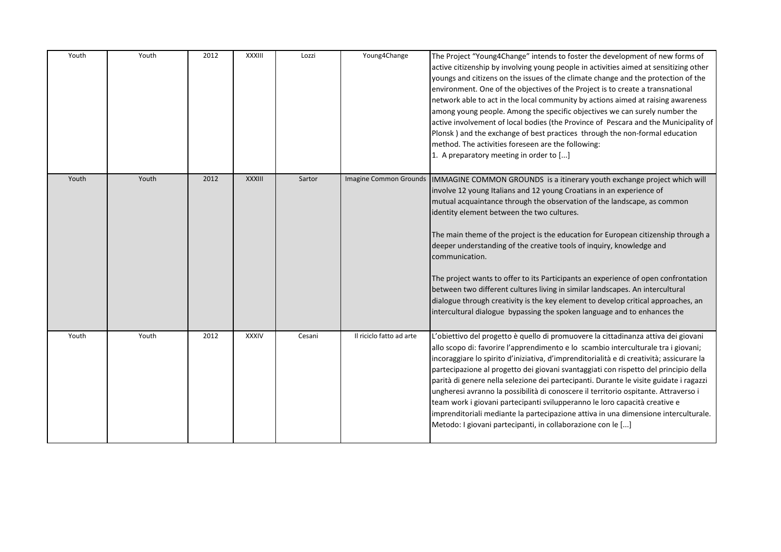| Youth | Youth | 2012 | XXXIII        | Lozzi  | Young4Change             | The Project "Young4Change" intends to foster the development of new forms of<br>active citizenship by involving young people in activities aimed at sensitizing other<br>youngs and citizens on the issues of the climate change and the protection of the<br>environment. One of the objectives of the Project is to create a transnational<br>network able to act in the local community by actions aimed at raising awareness<br>among young people. Among the specific objectives we can surely number the<br>active involvement of local bodies (the Province of Pescara and the Municipality of<br>Plonsk) and the exchange of best practices through the non-formal education<br>method. The activities foreseen are the following:<br>1. A preparatory meeting in order to []                                    |
|-------|-------|------|---------------|--------|--------------------------|--------------------------------------------------------------------------------------------------------------------------------------------------------------------------------------------------------------------------------------------------------------------------------------------------------------------------------------------------------------------------------------------------------------------------------------------------------------------------------------------------------------------------------------------------------------------------------------------------------------------------------------------------------------------------------------------------------------------------------------------------------------------------------------------------------------------------|
| Youth | Youth | 2012 | <b>XXXIII</b> | Sartor |                          | Imagine Common Grounds  IMMAGINE COMMON GROUNDS is a itinerary youth exchange project which will<br>involve 12 young Italians and 12 young Croatians in an experience of<br>mutual acquaintance through the observation of the landscape, as common<br>identity element between the two cultures.<br>The main theme of the project is the education for European citizenship through a<br>deeper understanding of the creative tools of inquiry, knowledge and<br>communication.<br>The project wants to offer to its Participants an experience of open confrontation<br>between two different cultures living in similar landscapes. An intercultural<br>dialogue through creativity is the key element to develop critical approaches, an<br>intercultural dialogue bypassing the spoken language and to enhances the |
| Youth | Youth | 2012 | <b>XXXIV</b>  | Cesani | Il riciclo fatto ad arte | L'obiettivo del progetto è quello di promuovere la cittadinanza attiva dei giovani<br>allo scopo di: favorire l'apprendimento e lo scambio interculturale tra i giovani;<br>incoraggiare lo spirito d'iniziativa, d'imprenditorialità e di creatività; assicurare la<br>partecipazione al progetto dei giovani svantaggiati con rispetto del principio della<br>parità di genere nella selezione dei partecipanti. Durante le visite guidate i ragazzi<br>ungheresi avranno la possibilità di conoscere il territorio ospitante. Attraverso i<br>team work i giovani partecipanti svilupperanno le loro capacità creative e<br>imprenditoriali mediante la partecipazione attiva in una dimensione interculturale.<br>Metodo: I giovani partecipanti, in collaborazione con le []                                        |